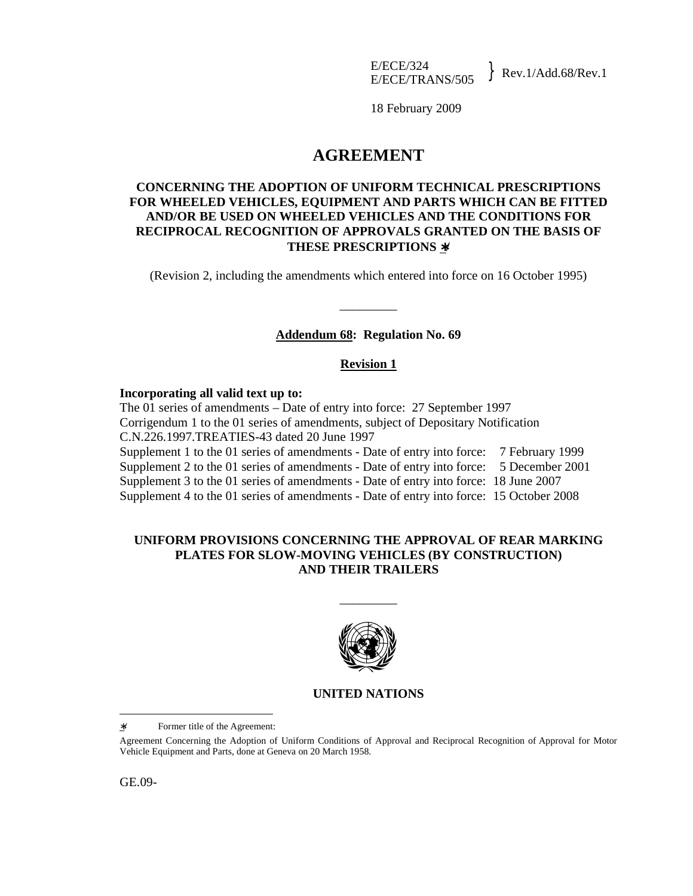18 February 2009

# **AGREEMENT**

# **CONCERNING THE ADOPTION OF UNIFORM TECHNICAL PRESCRIPTIONS FOR WHEELED VEHICLES, EQUIPMENT AND PARTS WHICH CAN BE FITTED AND/OR BE USED ON WHEELED VEHICLES AND THE CONDITIONS FOR RECIPROCAL RECOGNITION OF APPROVALS GRANTED ON THE BASIS OF THESE PRESCRIPTIONS** ∗**/**

(Revision 2, including the amendments which entered into force on 16 October 1995)

\_\_\_\_\_\_\_\_\_

# **Addendum 68: Regulation No. 69**

# **Revision 1**

#### **Incorporating all valid text up to:**

The 01 series of amendments – Date of entry into force: 27 September 1997 Corrigendum 1 to the 01 series of amendments, subject of Depositary Notification C.N.226.1997.TREATIES-43 dated 20 June 1997 Supplement 1 to the 01 series of amendments - Date of entry into force: 7 February 1999 Supplement 2 to the 01 series of amendments - Date of entry into force: 5 December 2001 Supplement 3 to the 01 series of amendments - Date of entry into force: 18 June 2007 Supplement 4 to the 01 series of amendments - Date of entry into force: 15 October 2008

## **UNIFORM PROVISIONS CONCERNING THE APPROVAL OF REAR MARKING PLATES FOR SLOW-MOVING VEHICLES (BY CONSTRUCTION) AND THEIR TRAILERS**

\_\_\_\_\_\_\_\_\_



# **UNITED NATIONS**

 $\overline{a}$ 

<sup>∗</sup>/ Former title of the Agreement:

Agreement Concerning the Adoption of Uniform Conditions of Approval and Reciprocal Recognition of Approval for Motor Vehicle Equipment and Parts, done at Geneva on 20 March 1958.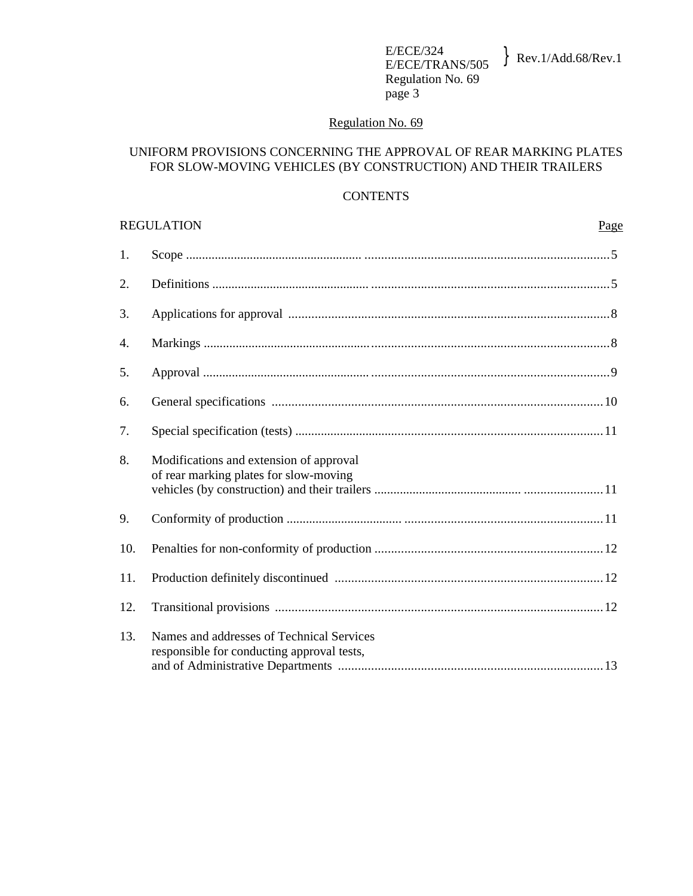# Regulation No. 69

# UNIFORM PROVISIONS CONCERNING THE APPROVAL OF REAR MARKING PLATES FOR SLOW-MOVING VEHICLES (BY CONSTRUCTION) AND THEIR TRAILERS

# **CONTENTS**

|     | <b>REGULATION</b><br>Page                                                               |
|-----|-----------------------------------------------------------------------------------------|
| 1.  |                                                                                         |
| 2.  |                                                                                         |
| 3.  |                                                                                         |
| 4.  |                                                                                         |
| 5.  |                                                                                         |
| 6.  |                                                                                         |
| 7.  |                                                                                         |
| 8.  | Modifications and extension of approval<br>of rear marking plates for slow-moving       |
| 9.  |                                                                                         |
| 10. |                                                                                         |
| 11. |                                                                                         |
| 12. |                                                                                         |
| 13. | Names and addresses of Technical Services<br>responsible for conducting approval tests, |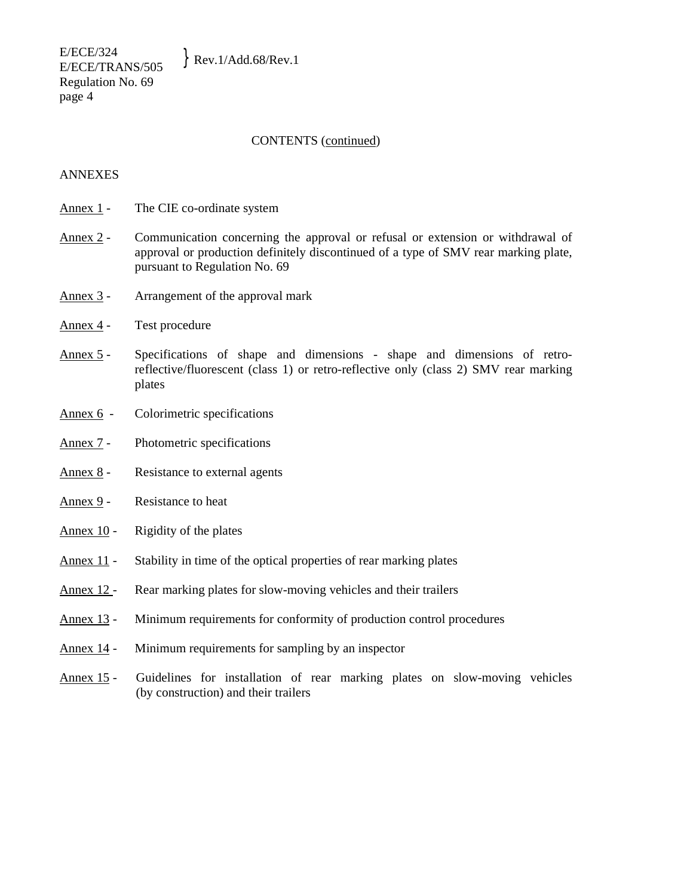E/ECE/324  $E/ECE/524$ <br>E/ECE/TRANS/505 Rev.1/Add.68/Rev.1 Regulation No. 69 page 4

#### CONTENTS (continued)

## ANNEXES

- Annex 1 The CIE co-ordinate system
- Annex 2 Communication concerning the approval or refusal or extension or withdrawal of approval or production definitely discontinued of a type of SMV rear marking plate, pursuant to Regulation No. 69
- Annex 3 Arrangement of the approval mark
- Annex 4 Test procedure
- Annex 5 Specifications of shape and dimensions shape and dimensions of retroreflective/fluorescent (class 1) or retro-reflective only (class 2) SMV rear marking plates
- Annex 6 Colorimetric specifications
- Annex 7 Photometric specifications
- Annex 8 Resistance to external agents
- Annex  $9 -$  Resistance to heat
- Annex 10 Rigidity of the plates
- Annex 11 Stability in time of the optical properties of rear marking plates
- Annex 12 Rear marking plates for slow-moving vehicles and their trailers
- Annex 13 Minimum requirements for conformity of production control procedures
- Annex 14 Minimum requirements for sampling by an inspector
- Annex 15 Guidelines for installation of rear marking plates on slow-moving vehicles (by construction) and their trailers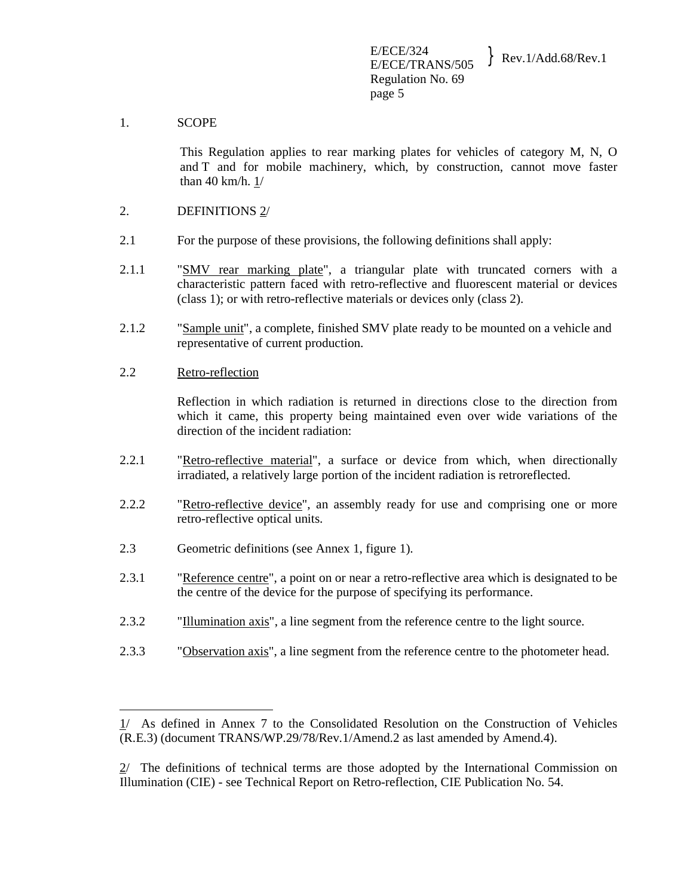#### 1. SCOPE

This Regulation applies to rear marking plates for vehicles of category M, N, O and T and for mobile machinery, which, by construction, cannot move faster than 40 km/h. 1/

- 2. DEFINITIONS 2/
- 2.1 For the purpose of these provisions, the following definitions shall apply:
- 2.1.1 "SMV rear marking plate", a triangular plate with truncated corners with a characteristic pattern faced with retro-reflective and fluorescent material or devices (class 1); or with retro-reflective materials or devices only (class 2).
- 2.1.2 "Sample unit", a complete, finished SMV plate ready to be mounted on a vehicle and representative of current production.

#### 2.2 Retro-reflection

 $\overline{a}$ 

 Reflection in which radiation is returned in directions close to the direction from which it came, this property being maintained even over wide variations of the direction of the incident radiation:

- 2.2.1 "Retro-reflective material", a surface or device from which, when directionally irradiated, a relatively large portion of the incident radiation is retroreflected.
- 2.2.2 "Retro-reflective device", an assembly ready for use and comprising one or more retro-reflective optical units.
- 2.3 Geometric definitions (see Annex 1, figure 1).
- 2.3.1 "Reference centre", a point on or near a retro-reflective area which is designated to be the centre of the device for the purpose of specifying its performance.
- 2.3.2 "Illumination axis", a line segment from the reference centre to the light source.
- 2.3.3 "Observation axis", a line segment from the reference centre to the photometer head.

<sup>1/</sup> As defined in Annex 7 to the Consolidated Resolution on the Construction of Vehicles (R.E.3) (document TRANS/WP.29/78/Rev.1/Amend.2 as last amended by Amend.4).

<sup>2/</sup> The definitions of technical terms are those adopted by the International Commission on Illumination (CIE) - see Technical Report on Retro-reflection, CIE Publication No. 54.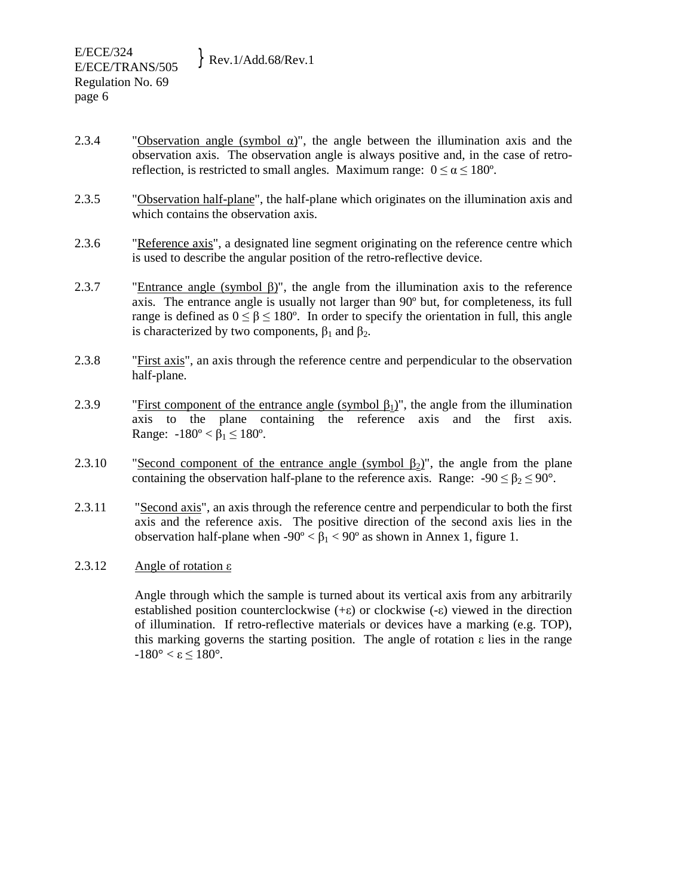- 2.3.4 "Observation angle (symbol  $\alpha$ )", the angle between the illumination axis and the observation axis. The observation angle is always positive and, in the case of retroreflection, is restricted to small angles. Maximum range:  $0 \le \alpha \le 180^{\circ}$ .
- 2.3.5 "Observation half-plane", the half-plane which originates on the illumination axis and which contains the observation axis.
- 2.3.6 "Reference axis", a designated line segment originating on the reference centre which is used to describe the angular position of the retro-reflective device.
- 2.3.7 "Entrance angle (symbol  $\beta$ )", the angle from the illumination axis to the reference axis. The entrance angle is usually not larger than 90º but, for completeness, its full range is defined as  $0 \le \beta \le 180^{\circ}$ . In order to specify the orientation in full, this angle is characterized by two components,  $β_1$  and  $β_2$ .
- 2.3.8 "First axis", an axis through the reference centre and perpendicular to the observation half-plane.
- 2.3.9 "First component of the entrance angle (symbol  $\beta_1$ )", the angle from the illumination axis to the plane containing the reference axis and the first axis. Range:  $-180^{\circ} < \beta_1 \le 180^{\circ}$ .
- 2.3.10 "Second component of the entrance angle (symbol  $\beta_2$ )", the angle from the plane containing the observation half-plane to the reference axis. Range:  $-90 \le \beta_2 \le 90^\circ$ .
- 2.3.11 "Second axis", an axis through the reference centre and perpendicular to both the first axis and the reference axis. The positive direction of the second axis lies in the observation half-plane when  $-90^{\circ} < \beta_1 < 90^{\circ}$  as shown in Annex 1, figure 1.
- 2.3.12 Angle of rotation  $\varepsilon$

Angle through which the sample is turned about its vertical axis from any arbitrarily established position counterclockwise (+ε) or clockwise (-ε) viewed in the direction of illumination. If retro-reflective materials or devices have a marking (e.g. TOP), this marking governs the starting position. The angle of rotation ε lies in the range  $-180^\circ < \varepsilon \leq 180^\circ$ .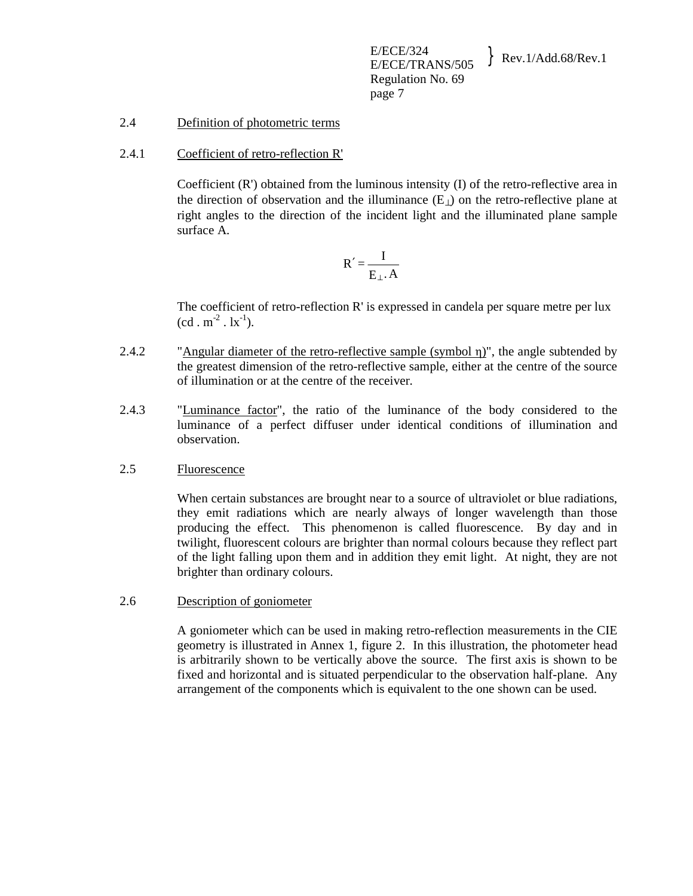# 2.4 Definition of photometric terms

2.4.1 Coefficient of retro-reflection R'

 Coefficient (R') obtained from the luminous intensity (I) of the retro-reflective area in the direction of observation and the illuminance  $(E_{\perp})$  on the retro-reflective plane at right angles to the direction of the incident light and the illuminated plane sample surface A.

$$
R' = \frac{I}{E_{\perp} \cdot A}
$$

 The coefficient of retro-reflection R' is expressed in candela per square metre per lux  $(cd \cdot m^{-2} \cdot lx^{-1})$ .

- 2.4.2 "Angular diameter of the retro-reflective sample (symbol η)", the angle subtended by the greatest dimension of the retro-reflective sample, either at the centre of the source of illumination or at the centre of the receiver.
- 2.4.3 "Luminance factor", the ratio of the luminance of the body considered to the luminance of a perfect diffuser under identical conditions of illumination and observation.

## 2.5 Fluorescence

When certain substances are brought near to a source of ultraviolet or blue radiations, they emit radiations which are nearly always of longer wavelength than those producing the effect. This phenomenon is called fluorescence. By day and in twilight, fluorescent colours are brighter than normal colours because they reflect part of the light falling upon them and in addition they emit light. At night, they are not brighter than ordinary colours.

## 2.6 Description of goniometer

 A goniometer which can be used in making retro-reflection measurements in the CIE geometry is illustrated in Annex 1, figure 2. In this illustration, the photometer head is arbitrarily shown to be vertically above the source. The first axis is shown to be fixed and horizontal and is situated perpendicular to the observation half-plane. Any arrangement of the components which is equivalent to the one shown can be used.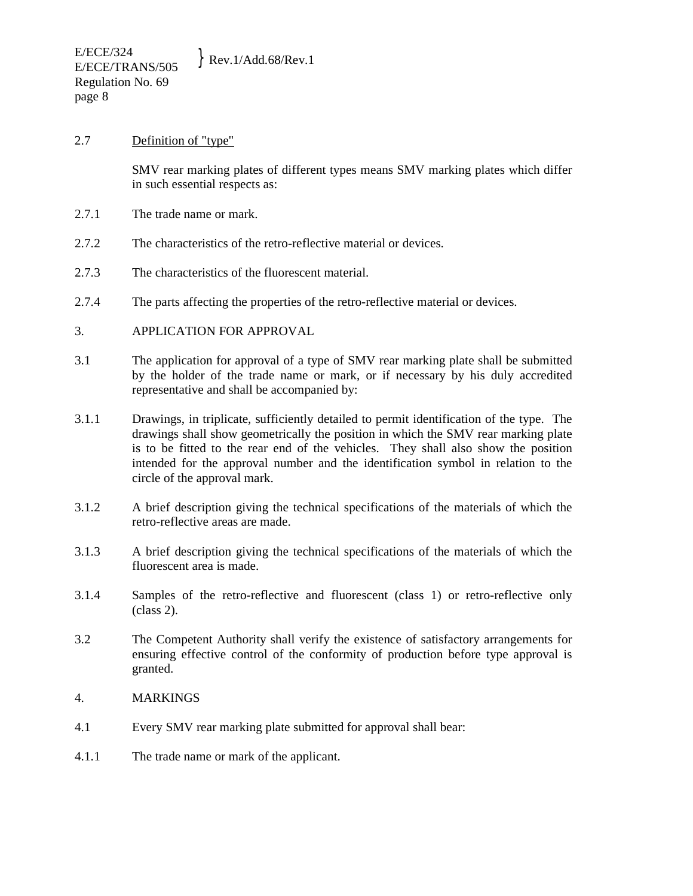#### 2.7 Definition of "type"

 SMV rear marking plates of different types means SMV marking plates which differ in such essential respects as:

- 2.7.1 The trade name or mark.
- 2.7.2 The characteristics of the retro-reflective material or devices.
- 2.7.3 The characteristics of the fluorescent material.
- 2.7.4 The parts affecting the properties of the retro-reflective material or devices.
- 3. APPLICATION FOR APPROVAL
- 3.1 The application for approval of a type of SMV rear marking plate shall be submitted by the holder of the trade name or mark, or if necessary by his duly accredited representative and shall be accompanied by:
- 3.1.1 Drawings, in triplicate, sufficiently detailed to permit identification of the type. The drawings shall show geometrically the position in which the SMV rear marking plate is to be fitted to the rear end of the vehicles. They shall also show the position intended for the approval number and the identification symbol in relation to the circle of the approval mark.
- 3.1.2 A brief description giving the technical specifications of the materials of which the retro-reflective areas are made.
- 3.1.3 A brief description giving the technical specifications of the materials of which the fluorescent area is made.
- 3.1.4 Samples of the retro-reflective and fluorescent (class 1) or retro-reflective only (class 2).
- 3.2 The Competent Authority shall verify the existence of satisfactory arrangements for ensuring effective control of the conformity of production before type approval is granted.
- 4. MARKINGS
- 4.1 Every SMV rear marking plate submitted for approval shall bear:
- 4.1.1 The trade name or mark of the applicant.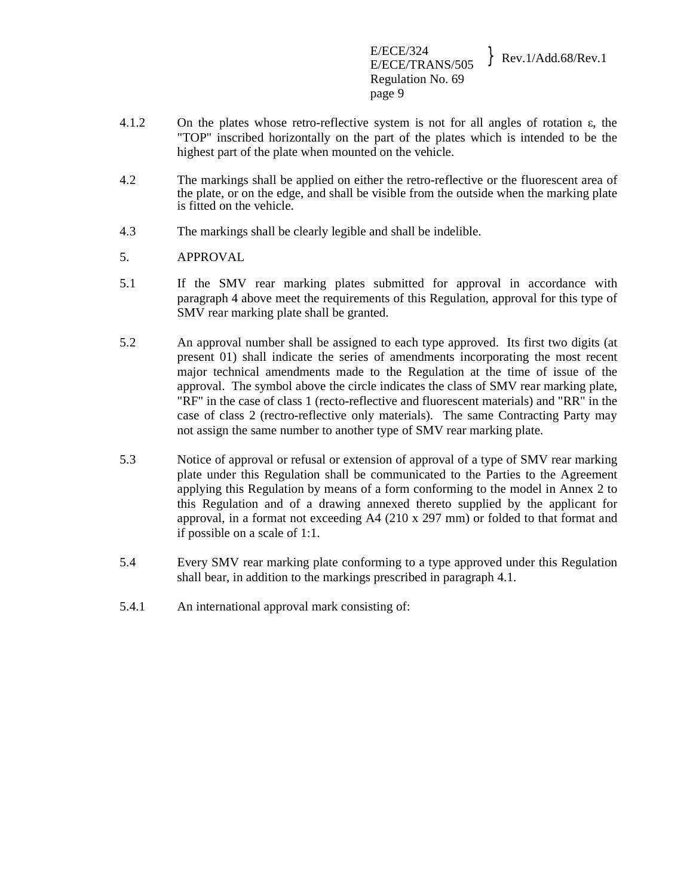E/ECE/324  $E/ECE/324$ <br>E/ECE/TRANS/505 Rev.1/Add.68/Rev.1 Regulation No. 69 page 9

- 4.1.2 On the plates whose retro-reflective system is not for all angles of rotation ε, the "TOP" inscribed horizontally on the part of the plates which is intended to be the highest part of the plate when mounted on the vehicle.
- 4.2 The markings shall be applied on either the retro-reflective or the fluorescent area of the plate, or on the edge, and shall be visible from the outside when the marking plate is fitted on the vehicle.
- 4.3 The markings shall be clearly legible and shall be indelible.
- 5. APPROVAL
- 5.1 If the SMV rear marking plates submitted for approval in accordance with paragraph 4 above meet the requirements of this Regulation, approval for this type of SMV rear marking plate shall be granted.
- 5.2 An approval number shall be assigned to each type approved. Its first two digits (at present 01) shall indicate the series of amendments incorporating the most recent major technical amendments made to the Regulation at the time of issue of the approval. The symbol above the circle indicates the class of SMV rear marking plate, "RF" in the case of class 1 (recto-reflective and fluorescent materials) and "RR" in the case of class 2 (rectro-reflective only materials). The same Contracting Party may not assign the same number to another type of SMV rear marking plate.
- 5.3 Notice of approval or refusal or extension of approval of a type of SMV rear marking plate under this Regulation shall be communicated to the Parties to the Agreement applying this Regulation by means of a form conforming to the model in Annex 2 to this Regulation and of a drawing annexed thereto supplied by the applicant for approval, in a format not exceeding A4 (210 x 297 mm) or folded to that format and if possible on a scale of 1:1.
- 5.4 Every SMV rear marking plate conforming to a type approved under this Regulation shall bear, in addition to the markings prescribed in paragraph 4.1.
- 5.4.1 An international approval mark consisting of: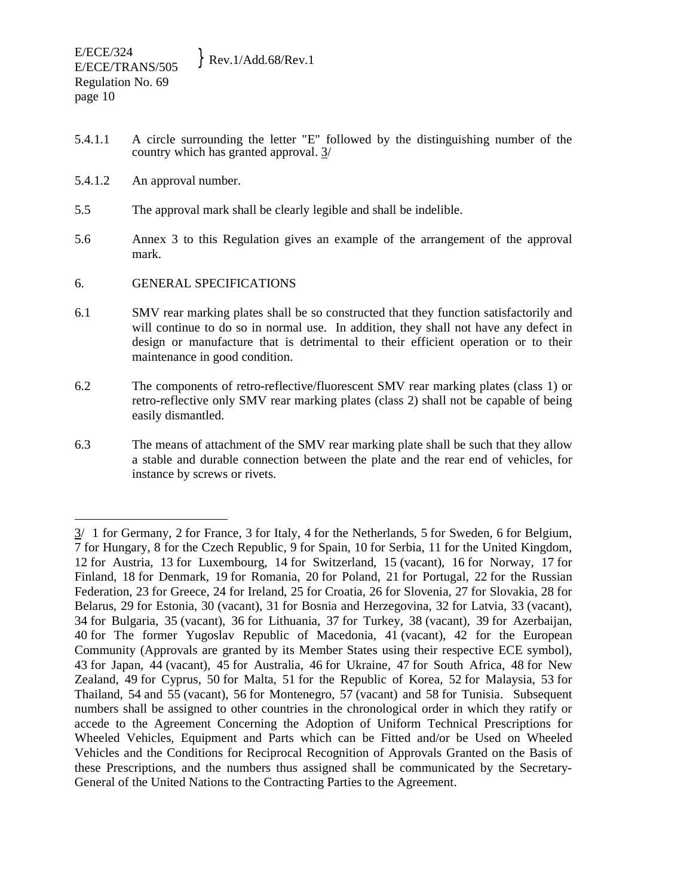- 5.4.1.1 A circle surrounding the letter "E" followed by the distinguishing number of the country which has granted approval. 3/
- 5.4.1.2 An approval number.
- 5.5 The approval mark shall be clearly legible and shall be indelible.
- 5.6 Annex 3 to this Regulation gives an example of the arrangement of the approval mark.
- 6. GENERAL SPECIFICATIONS
- 6.1 SMV rear marking plates shall be so constructed that they function satisfactorily and will continue to do so in normal use. In addition, they shall not have any defect in design or manufacture that is detrimental to their efficient operation or to their maintenance in good condition.
- 6.2 The components of retro-reflective/fluorescent SMV rear marking plates (class 1) or retro-reflective only SMV rear marking plates (class 2) shall not be capable of being easily dismantled.
- 6.3 The means of attachment of the SMV rear marking plate shall be such that they allow a stable and durable connection between the plate and the rear end of vehicles, for instance by screws or rivets.

 $\overline{a}$  $3/1$  for Germany, 2 for France, 3 for Italy, 4 for the Netherlands, 5 for Sweden, 6 for Belgium, 7 for Hungary, 8 for the Czech Republic, 9 for Spain, 10 for Serbia, 11 for the United Kingdom, 12 for Austria, 13 for Luxembourg, 14 for Switzerland, 15 (vacant), 16 for Norway, 17 for Finland, 18 for Denmark, 19 for Romania, 20 for Poland, 21 for Portugal, 22 for the Russian Federation, 23 for Greece, 24 for Ireland, 25 for Croatia, 26 for Slovenia, 27 for Slovakia, 28 for Belarus, 29 for Estonia, 30 (vacant), 31 for Bosnia and Herzegovina, 32 for Latvia, 33 (vacant), 34 for Bulgaria, 35 (vacant), 36 for Lithuania, 37 for Turkey, 38 (vacant), 39 for Azerbaijan, 40 for The former Yugoslav Republic of Macedonia, 41 (vacant), 42 for the European Community (Approvals are granted by its Member States using their respective ECE symbol), 43 for Japan, 44 (vacant), 45 for Australia, 46 for Ukraine, 47 for South Africa, 48 for New Zealand, 49 for Cyprus, 50 for Malta, 51 for the Republic of Korea, 52 for Malaysia, 53 for Thailand, 54 and 55 (vacant), 56 for Montenegro, 57 (vacant) and 58 for Tunisia. Subsequent numbers shall be assigned to other countries in the chronological order in which they ratify or accede to the Agreement Concerning the Adoption of Uniform Technical Prescriptions for Wheeled Vehicles, Equipment and Parts which can be Fitted and/or be Used on Wheeled Vehicles and the Conditions for Reciprocal Recognition of Approvals Granted on the Basis of these Prescriptions, and the numbers thus assigned shall be communicated by the Secretary-General of the United Nations to the Contracting Parties to the Agreement.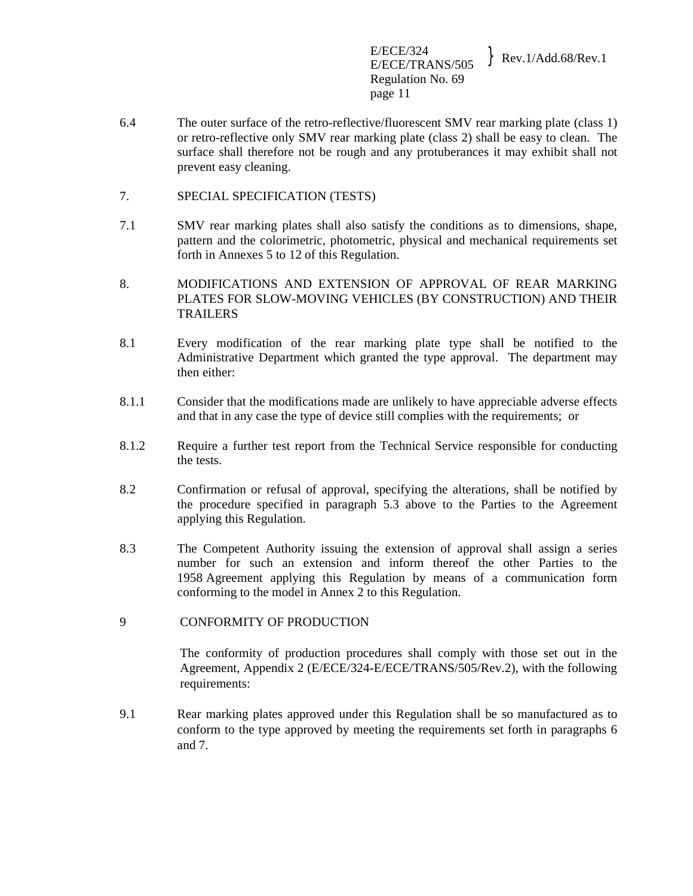E/ECE/324  $E/ECE/324$ <br> $E/ECE/TRANS/505$  Rev.1/Add.68/Rev.1 Regulation No. 69 page 11

- 6.4 The outer surface of the retro-reflective/fluorescent SMV rear marking plate (class 1) or retro-reflective only SMV rear marking plate (class 2) shall be easy to clean. The surface shall therefore not be rough and any protuberances it may exhibit shall not prevent easy cleaning.
- 7. SPECIAL SPECIFICATION (TESTS)
- 7.1 SMV rear marking plates shall also satisfy the conditions as to dimensions, shape, pattern and the colorimetric, photometric, physical and mechanical requirements set forth in Annexes 5 to 12 of this Regulation.
- 8. MODIFICATIONS AND EXTENSION OF APPROVAL OF REAR MARKING PLATES FOR SLOW-MOVING VEHICLES (BY CONSTRUCTION) AND THEIR TRAILERS
- 8.1 Every modification of the rear marking plate type shall be notified to the Administrative Department which granted the type approval. The department may then either:
- 8.1.1 Consider that the modifications made are unlikely to have appreciable adverse effects and that in any case the type of device still complies with the requirements; or
- 8.1.2 Require a further test report from the Technical Service responsible for conducting the tests.
- 8.2 Confirmation or refusal of approval, specifying the alterations, shall be notified by the procedure specified in paragraph 5.3 above to the Parties to the Agreement applying this Regulation.
- 8.3 The Competent Authority issuing the extension of approval shall assign a series number for such an extension and inform thereof the other Parties to the 1958 Agreement applying this Regulation by means of a communication form conforming to the model in Annex 2 to this Regulation.
- 9 CONFORMITY OF PRODUCTION

The conformity of production procedures shall comply with those set out in the Agreement, Appendix 2 (E/ECE/324-E/ECE/TRANS/505/Rev.2), with the following requirements:

9.1 Rear marking plates approved under this Regulation shall be so manufactured as to conform to the type approved by meeting the requirements set forth in paragraphs 6 and 7.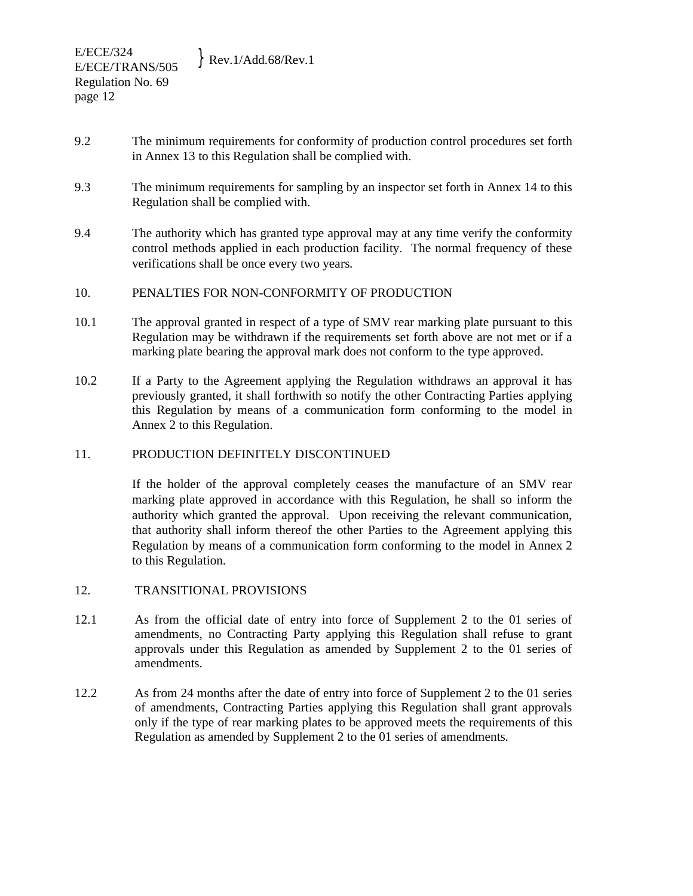- 9.2 The minimum requirements for conformity of production control procedures set forth in Annex 13 to this Regulation shall be complied with.
- 9.3 The minimum requirements for sampling by an inspector set forth in Annex 14 to this Regulation shall be complied with.
- 9.4 The authority which has granted type approval may at any time verify the conformity control methods applied in each production facility. The normal frequency of these verifications shall be once every two years.

# 10. PENALTIES FOR NON-CONFORMITY OF PRODUCTION

- 10.1 The approval granted in respect of a type of SMV rear marking plate pursuant to this Regulation may be withdrawn if the requirements set forth above are not met or if a marking plate bearing the approval mark does not conform to the type approved.
- 10.2 If a Party to the Agreement applying the Regulation withdraws an approval it has previously granted, it shall forthwith so notify the other Contracting Parties applying this Regulation by means of a communication form conforming to the model in Annex 2 to this Regulation.

## 11. PRODUCTION DEFINITELY DISCONTINUED

 If the holder of the approval completely ceases the manufacture of an SMV rear marking plate approved in accordance with this Regulation, he shall so inform the authority which granted the approval. Upon receiving the relevant communication, that authority shall inform thereof the other Parties to the Agreement applying this Regulation by means of a communication form conforming to the model in Annex 2 to this Regulation.

## 12. TRANSITIONAL PROVISIONS

- 12.1 As from the official date of entry into force of Supplement 2 to the 01 series of amendments, no Contracting Party applying this Regulation shall refuse to grant approvals under this Regulation as amended by Supplement 2 to the 01 series of amendments.
- 12.2 As from 24 months after the date of entry into force of Supplement 2 to the 01 series of amendments, Contracting Parties applying this Regulation shall grant approvals only if the type of rear marking plates to be approved meets the requirements of this Regulation as amended by Supplement 2 to the 01 series of amendments.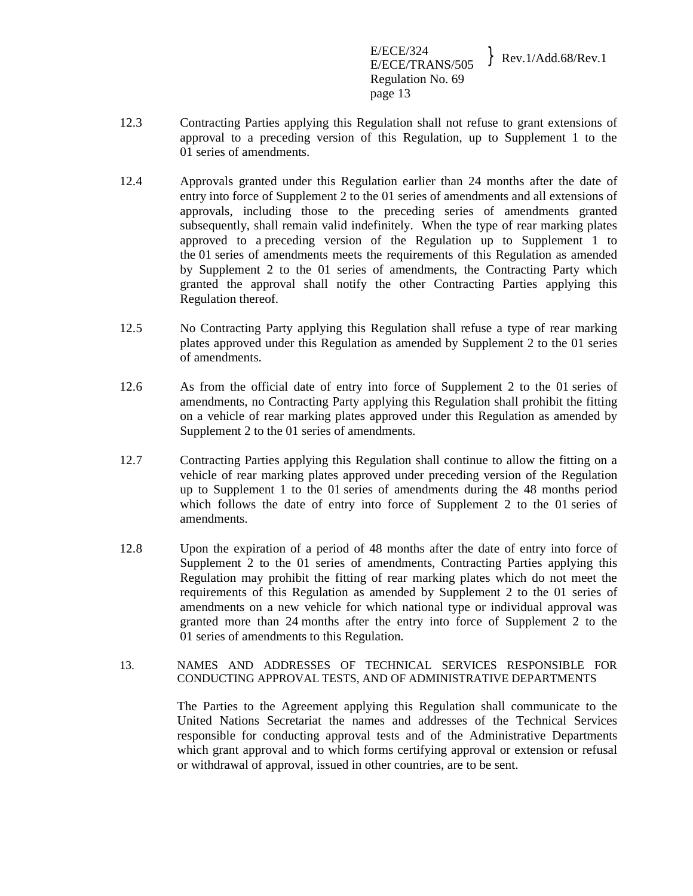E/ECE/324  $E/ECE/324$ <br> $E/ECE/TRANS/505$  Rev.1/Add.68/Rev.1 Regulation No. 69 page 13

- 12.3 Contracting Parties applying this Regulation shall not refuse to grant extensions of approval to a preceding version of this Regulation, up to Supplement 1 to the 01 series of amendments.
- 12.4 Approvals granted under this Regulation earlier than 24 months after the date of entry into force of Supplement 2 to the 01 series of amendments and all extensions of approvals, including those to the preceding series of amendments granted subsequently, shall remain valid indefinitely. When the type of rear marking plates approved to a preceding version of the Regulation up to Supplement 1 to the 01 series of amendments meets the requirements of this Regulation as amended by Supplement 2 to the 01 series of amendments, the Contracting Party which granted the approval shall notify the other Contracting Parties applying this Regulation thereof.
- 12.5 No Contracting Party applying this Regulation shall refuse a type of rear marking plates approved under this Regulation as amended by Supplement 2 to the 01 series of amendments.
- 12.6 As from the official date of entry into force of Supplement 2 to the 01 series of amendments, no Contracting Party applying this Regulation shall prohibit the fitting on a vehicle of rear marking plates approved under this Regulation as amended by Supplement 2 to the 01 series of amendments.
- 12.7 Contracting Parties applying this Regulation shall continue to allow the fitting on a vehicle of rear marking plates approved under preceding version of the Regulation up to Supplement 1 to the 01 series of amendments during the 48 months period which follows the date of entry into force of Supplement 2 to the 01 series of amendments.
- 12.8 Upon the expiration of a period of 48 months after the date of entry into force of Supplement 2 to the 01 series of amendments, Contracting Parties applying this Regulation may prohibit the fitting of rear marking plates which do not meet the requirements of this Regulation as amended by Supplement 2 to the 01 series of amendments on a new vehicle for which national type or individual approval was granted more than 24 months after the entry into force of Supplement 2 to the 01 series of amendments to this Regulation.
- 13. NAMES AND ADDRESSES OF TECHNICAL SERVICES RESPONSIBLE FOR CONDUCTING APPROVAL TESTS, AND OF ADMINISTRATIVE DEPARTMENTS

 The Parties to the Agreement applying this Regulation shall communicate to the United Nations Secretariat the names and addresses of the Technical Services responsible for conducting approval tests and of the Administrative Departments which grant approval and to which forms certifying approval or extension or refusal or withdrawal of approval, issued in other countries, are to be sent.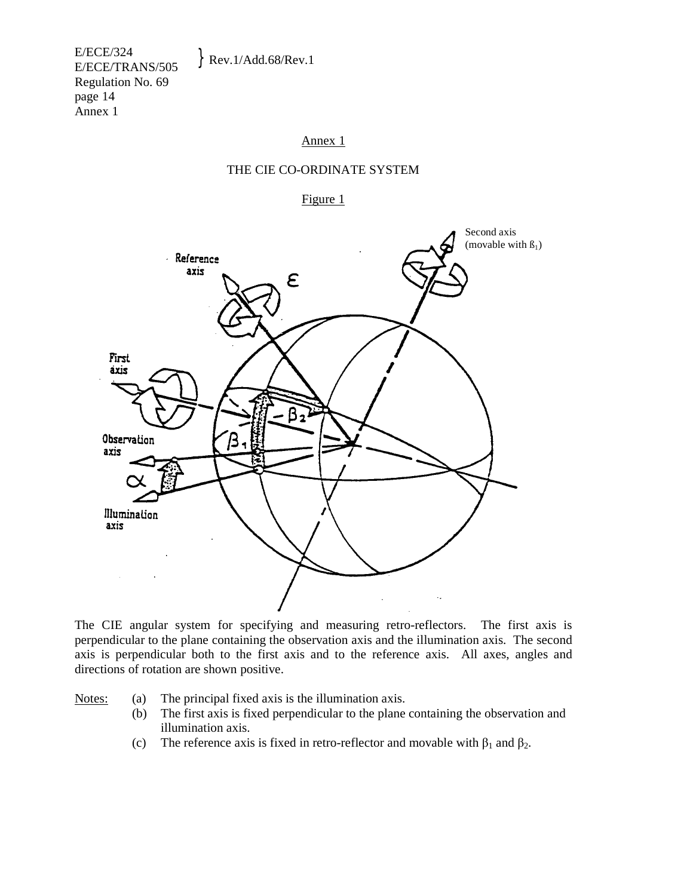E/ECE/324  $E/ECE/324$ <br>E/ECE/TRANS/505 Rev.1/Add.68/Rev.1 Regulation No. 69 page 14 Annex 1

#### Annex 1

#### THE CIE CO-ORDINATE SYSTEM

Figure 1



The CIE angular system for specifying and measuring retro-reflectors. The first axis is perpendicular to the plane containing the observation axis and the illumination axis. The second axis is perpendicular both to the first axis and to the reference axis. All axes, angles and directions of rotation are shown positive.

Notes: (a) The principal fixed axis is the illumination axis.

- (b) The first axis is fixed perpendicular to the plane containing the observation and illumination axis.
- (c) The reference axis is fixed in retro-reflector and movable with  $\beta_1$  and  $\beta_2$ .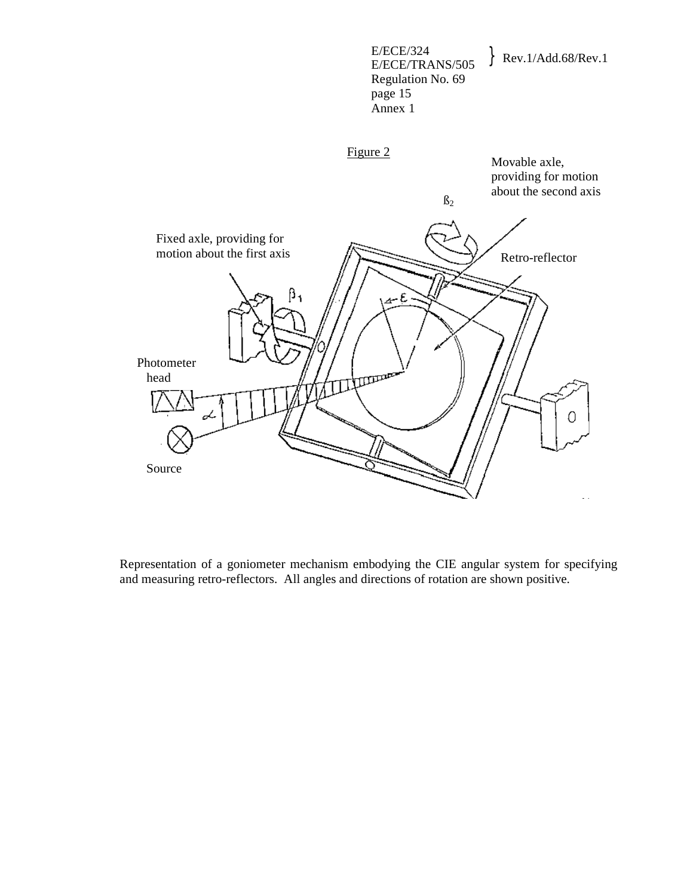

Representation of a goniometer mechanism embodying the CIE angular system for specifying and measuring retro-reflectors. All angles and directions of rotation are shown positive.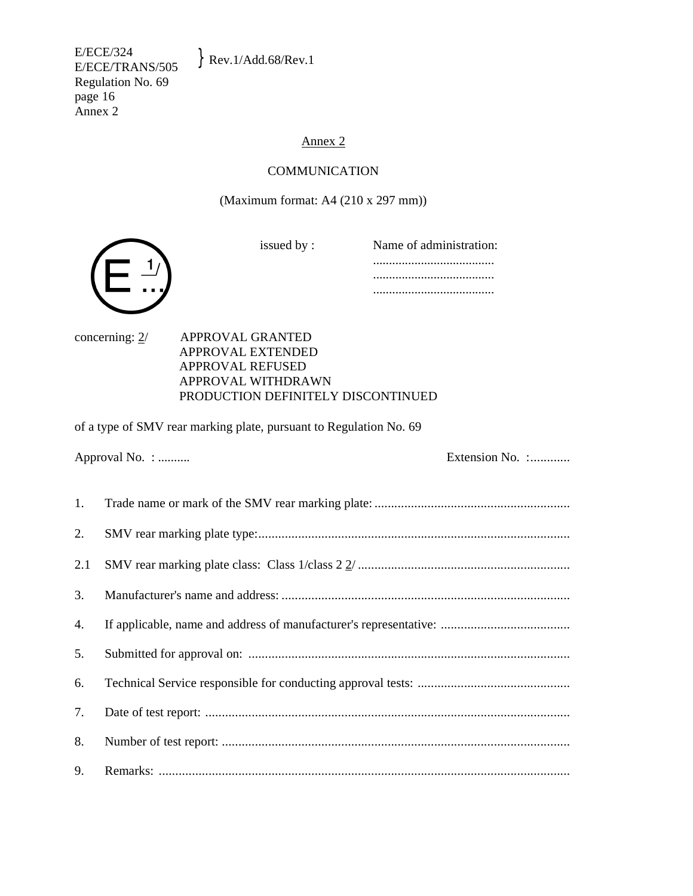E/ECE/324  $E/ECE/324$ <br>E/ECE/TRANS/505 Rev.1/Add.68/Rev.1 Regulation No. 69 page 16 Annex 2

# Annex 2

# COMMUNICATION

(Maximum format: A4 (210 x 297 mm))

issued by :

| Name of administration: |
|-------------------------|
|                         |
| .                       |
|                         |



concerning: 2/ APPROVAL GRANTED APPROVAL EXTENDED APPROVAL REFUSED APPROVAL WITHDRAWN PRODUCTION DEFINITELY DISCONTINUED

of a type of SMV rear marking plate, pursuant to Regulation No. 69

Approval No. : .......... Extension No. :............

| 2. |  |
|----|--|
|    |  |
| 3. |  |
| 4. |  |
| 5. |  |
| 6. |  |
| 7. |  |
| 8. |  |
| 9. |  |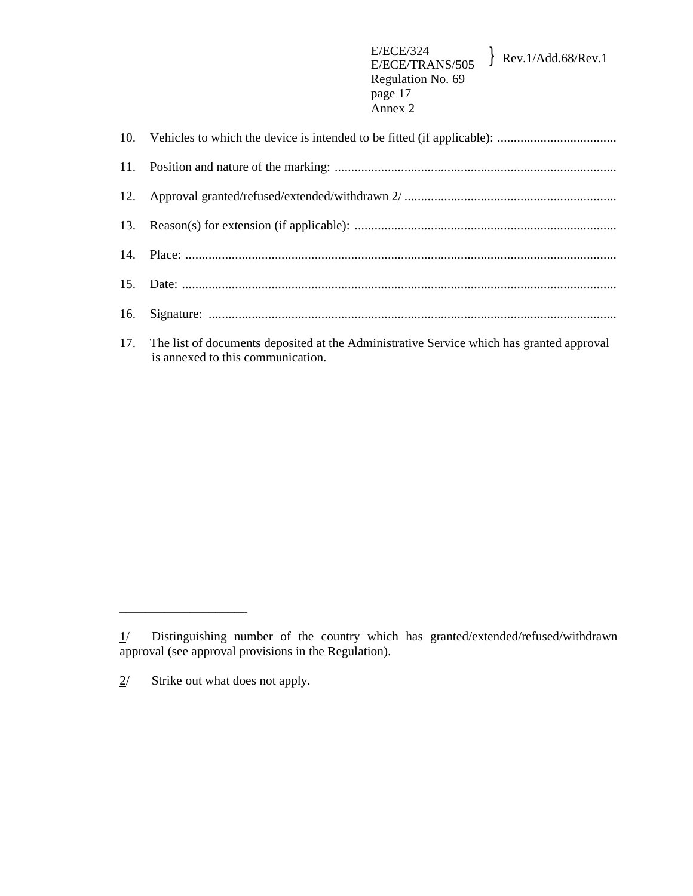17. The list of documents deposited at the Administrative Service which has granted approval is annexed to this communication.

\_\_\_\_\_\_\_\_\_\_\_\_\_\_\_\_\_\_\_\_

 $1/$  Distinguishing number of the country which has granted/extended/refused/withdrawn approval (see approval provisions in the Regulation).

 $2^{\prime}$  Strike out what does not apply.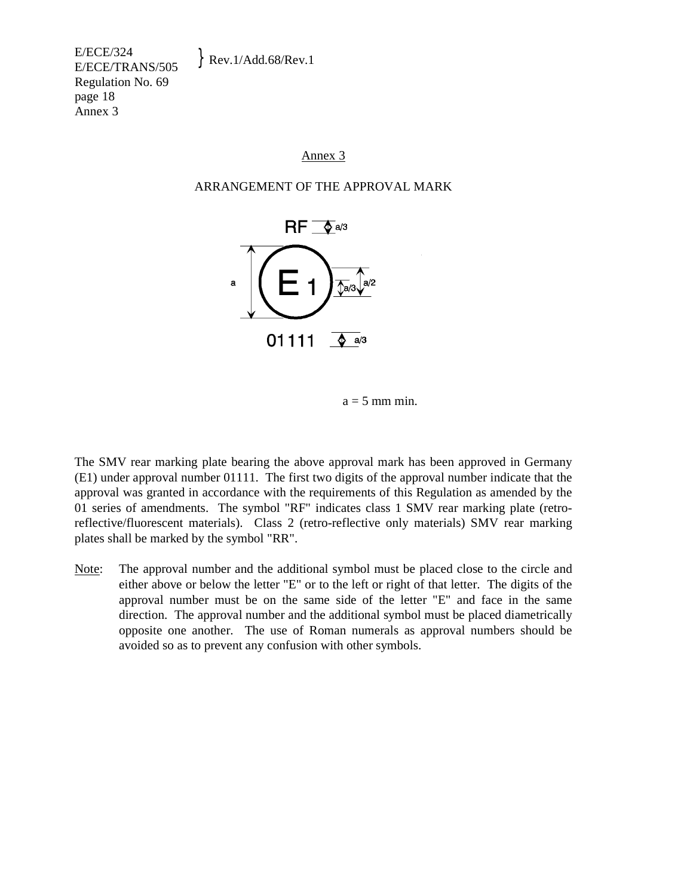E/ECE/324  $E/ECE/524$ <br>E/ECE/TRANS/505 Rev.1/Add.68/Rev.1 Regulation No. 69 page 18 Annex 3

## Annex 3

#### ARRANGEMENT OF THE APPROVAL MARK



 $a = 5$  mm min.

The SMV rear marking plate bearing the above approval mark has been approved in Germany (E1) under approval number 01111. The first two digits of the approval number indicate that the approval was granted in accordance with the requirements of this Regulation as amended by the 01 series of amendments. The symbol "RF" indicates class 1 SMV rear marking plate (retroreflective/fluorescent materials). Class 2 (retro-reflective only materials) SMV rear marking plates shall be marked by the symbol "RR".

Note: The approval number and the additional symbol must be placed close to the circle and either above or below the letter "E" or to the left or right of that letter. The digits of the approval number must be on the same side of the letter "E" and face in the same direction. The approval number and the additional symbol must be placed diametrically opposite one another. The use of Roman numerals as approval numbers should be avoided so as to prevent any confusion with other symbols.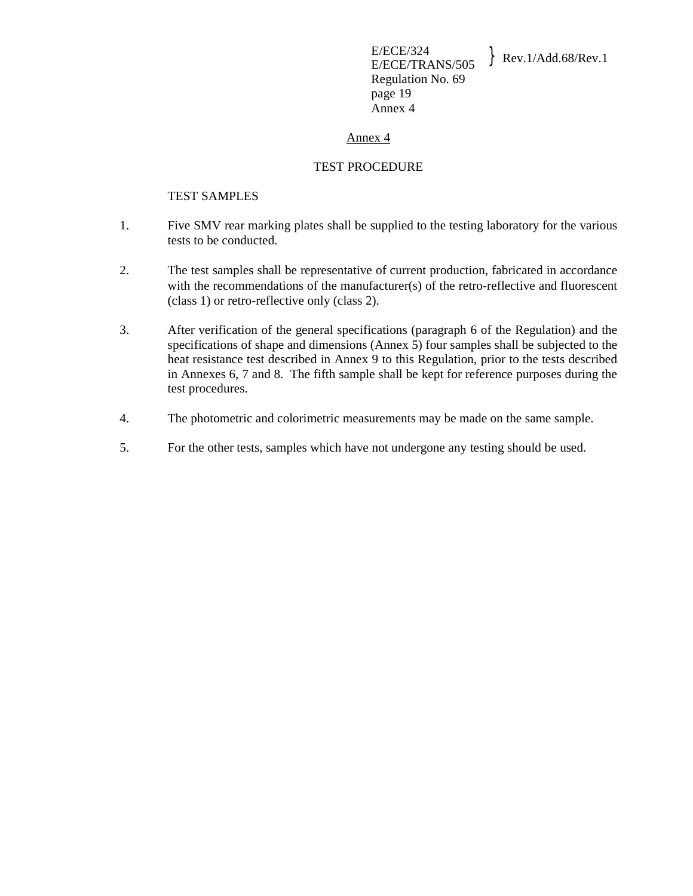E/ECE/324  $E/ECE/324$ <br>E/ECE/TRANS/505 Rev.1/Add.68/Rev.1 Regulation No. 69 page 19 Annex 4

#### Annex 4

#### TEST PROCEDURE

#### TEST SAMPLES

- 1. Five SMV rear marking plates shall be supplied to the testing laboratory for the various tests to be conducted.
- 2. The test samples shall be representative of current production, fabricated in accordance with the recommendations of the manufacturer(s) of the retro-reflective and fluorescent (class 1) or retro-reflective only (class 2).
- 3. After verification of the general specifications (paragraph 6 of the Regulation) and the specifications of shape and dimensions (Annex 5) four samples shall be subjected to the heat resistance test described in Annex 9 to this Regulation, prior to the tests described in Annexes 6, 7 and 8. The fifth sample shall be kept for reference purposes during the test procedures.
- 4. The photometric and colorimetric measurements may be made on the same sample.
- 5. For the other tests, samples which have not undergone any testing should be used.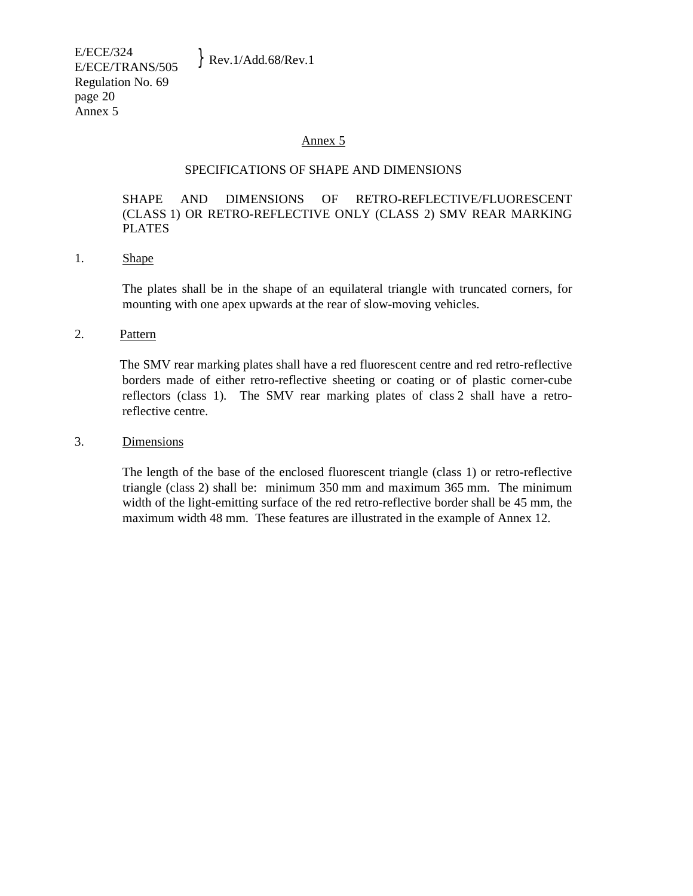#### SPECIFICATIONS OF SHAPE AND DIMENSIONS

# SHAPE AND DIMENSIONS OF RETRO-REFLECTIVE/FLUORESCENT (CLASS 1) OR RETRO-REFLECTIVE ONLY (CLASS 2) SMV REAR MARKING PLATES

#### 1. Shape

 The plates shall be in the shape of an equilateral triangle with truncated corners, for mounting with one apex upwards at the rear of slow-moving vehicles.

#### 2. Pattern

 The SMV rear marking plates shall have a red fluorescent centre and red retro-reflective borders made of either retro-reflective sheeting or coating or of plastic corner-cube reflectors (class 1). The SMV rear marking plates of class 2 shall have a retroreflective centre.

#### 3. Dimensions

 The length of the base of the enclosed fluorescent triangle (class 1) or retro-reflective triangle (class 2) shall be: minimum 350 mm and maximum 365 mm. The minimum width of the light-emitting surface of the red retro-reflective border shall be 45 mm, the maximum width 48 mm. These features are illustrated in the example of Annex 12.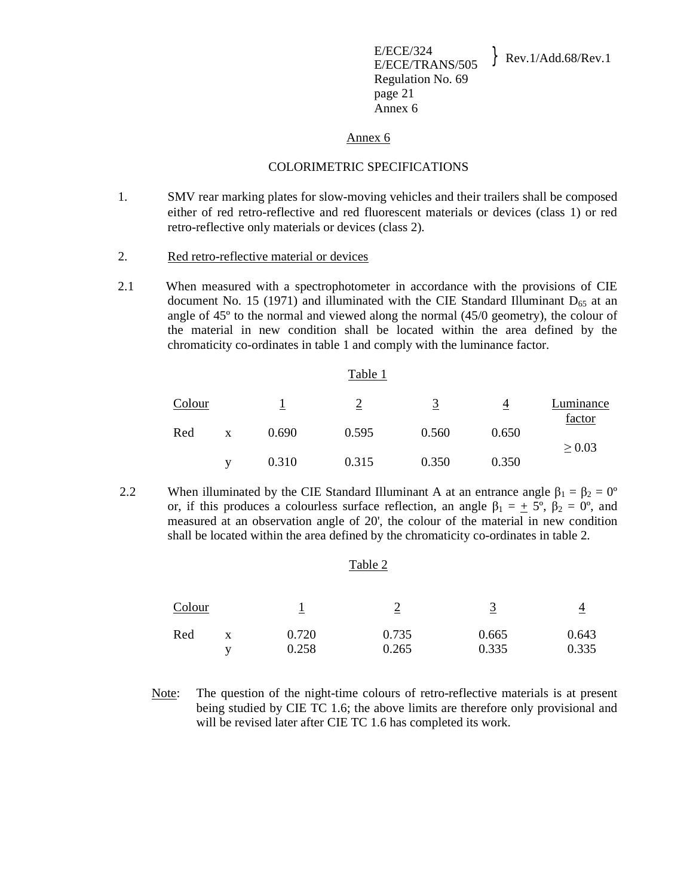E/ECE/324<br>E/ECE/TRANS/505 Regulation No. 69 page 21 Annex 6

#### Annex 6

#### COLORIMETRIC SPECIFICATIONS

- 1. SMV rear marking plates for slow-moving vehicles and their trailers shall be composed either of red retro-reflective and red fluorescent materials or devices (class 1) or red retro-reflective only materials or devices (class 2).
- 2. Red retro-reflective material or devices
- 2.1 When measured with a spectrophotometer in accordance with the provisions of CIE document No. 15 (1971) and illuminated with the CIE Standard Illuminant  $D_{65}$  at an angle of 45º to the normal and viewed along the normal (45/0 geometry), the colour of the material in new condition shall be located within the area defined by the chromaticity co-ordinates in table 1 and comply with the luminance factor.

|        |              |       | Table 1 |       |                |                     |
|--------|--------------|-------|---------|-------|----------------|---------------------|
| Colour |              |       |         | 3     | $\overline{4}$ | Luminance<br>factor |
| Red    | $\mathbf{x}$ | 0.690 | 0.595   | 0.560 | 0.650          | $\geq 0.03$         |
|        | V            | 0.310 | 0.315   | 0.350 | 0.350          |                     |

2.2 When illuminated by the CIE Standard Illuminant A at an entrance angle  $\beta_1 = \beta_2 = 0^\circ$ or, if this produces a colourless surface reflection, an angle  $\beta_1 = \pm 5^{\circ}$ ,  $\beta_2 = 0^{\circ}$ , and measured at an observation angle of 20', the colour of the material in new condition shall be located within the area defined by the chromaticity co-ordinates in table 2.

|        |        |                | Table 2        |                |                |
|--------|--------|----------------|----------------|----------------|----------------|
| Colour |        |                |                |                | 4              |
| Red    | X<br>v | 0.720<br>0.258 | 0.735<br>0.265 | 0.665<br>0.335 | 0.643<br>0.335 |

 Note: The question of the night-time colours of retro-reflective materials is at present being studied by CIE TC 1.6; the above limits are therefore only provisional and will be revised later after CIE TC 1.6 has completed its work.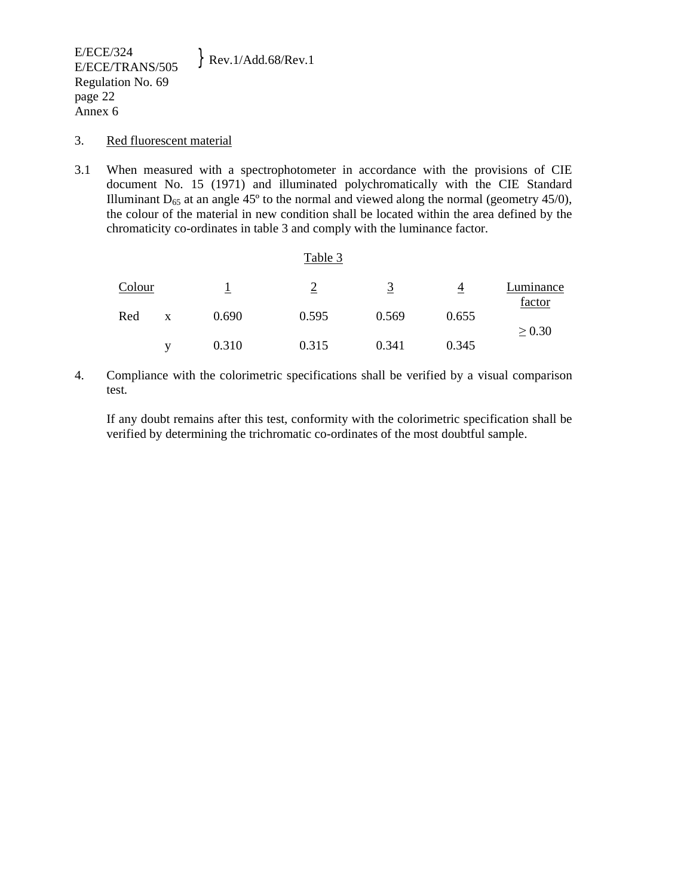#### 3. Red fluorescent material

3.1 When measured with a spectrophotometer in accordance with the provisions of CIE document No. 15 (1971) and illuminated polychromatically with the CIE Standard Illuminant  $D_{65}$  at an angle 45 $^{\circ}$  to the normal and viewed along the normal (geometry 45/0), the colour of the material in new condition shall be located within the area defined by the chromaticity co-ordinates in table 3 and comply with the luminance factor.

|        |   |       | Table 3 |       |       |                     |
|--------|---|-------|---------|-------|-------|---------------------|
| Colour |   |       | ↑       | 3     | 4     | Luminance<br>factor |
| Red    | X | 0.690 | 0.595   | 0.569 | 0.655 | $\geq 0.30$         |
|        | v | 0.310 | 0.315   | 0.341 | 0.345 |                     |

4. Compliance with the colorimetric specifications shall be verified by a visual comparison test.

 If any doubt remains after this test, conformity with the colorimetric specification shall be verified by determining the trichromatic co-ordinates of the most doubtful sample.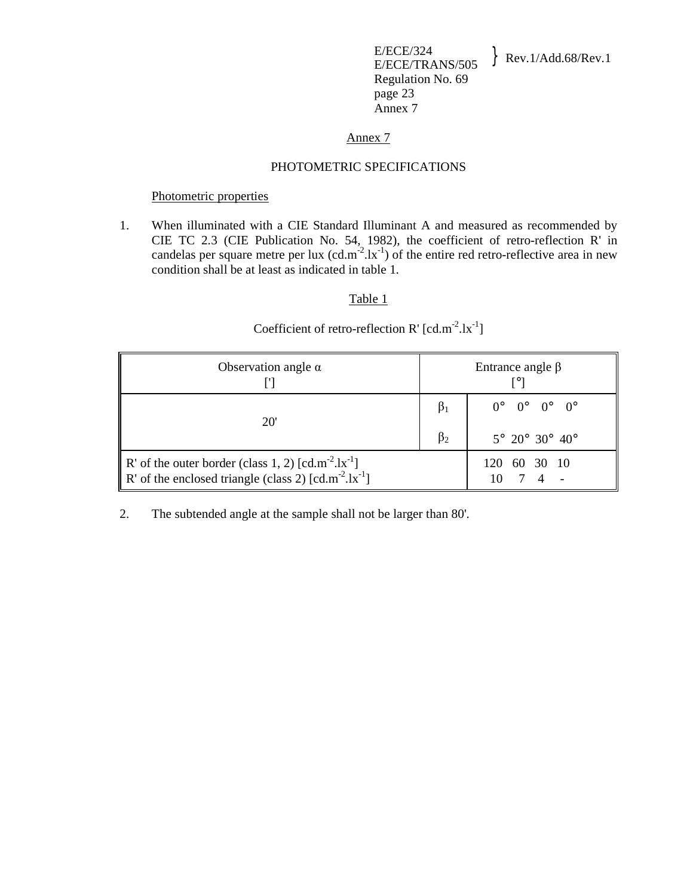E/ECE/324  $E/ECE/324$ <br>E/ECE/TRANS/505 Rev.1/Add.68/Rev.1 Regulation No. 69 page 23 Annex 7

## Annex 7

#### PHOTOMETRIC SPECIFICATIONS

## Photometric properties

1. When illuminated with a CIE Standard Illuminant A and measured as recommended by CIE TC 2.3 (CIE Publication No. 54, 1982), the coefficient of retro-reflection R' in candelas per square metre per lux  $(cd.m^{-2}.lx^{-1})$  of the entire red retro-reflective area in new condition shall be at least as indicated in table 1.

# Table 1

# Coefficient of retro-reflection R'  $[cd.m^{-2}.lx^{-1}]$

| Observation angle $\alpha$                                                                                         |           | Entrance angle $\beta$                                |
|--------------------------------------------------------------------------------------------------------------------|-----------|-------------------------------------------------------|
| 20 <sup>'</sup>                                                                                                    | $\beta_1$ | $0^{\circ}$ $0^{\circ}$ $0^{\circ}$ $0^{\circ}$       |
|                                                                                                                    | $\beta_2$ | $5^{\circ}$ 20 $^{\circ}$ 30 $^{\circ}$ 40 $^{\circ}$ |
| R' of the outer border (class 1, 2) $[cd.m^2.lx^{-1}]$<br>R' of the enclosed triangle (class 2) $[cd.m^2.lx^{-1}]$ |           | 120 60 30 10                                          |

2. The subtended angle at the sample shall not be larger than 80'.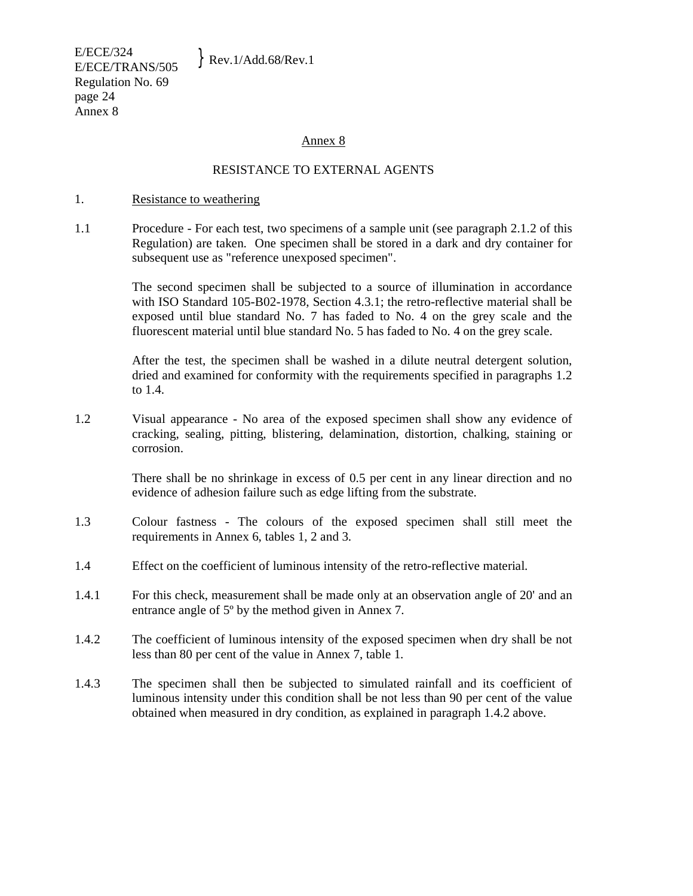E/ECE/324  $E/ECE/524$ <br>E/ECE/TRANS/505 Rev.1/Add.68/Rev.1 Regulation No. 69 page 24 Annex 8

#### Annex 8

## RESISTANCE TO EXTERNAL AGENTS

#### 1. Resistance to weathering

1.1 Procedure - For each test, two specimens of a sample unit (see paragraph 2.1.2 of this Regulation) are taken. One specimen shall be stored in a dark and dry container for subsequent use as "reference unexposed specimen".

> The second specimen shall be subjected to a source of illumination in accordance with ISO Standard 105-B02-1978, Section 4.3.1; the retro-reflective material shall be exposed until blue standard No. 7 has faded to No. 4 on the grey scale and the fluorescent material until blue standard No. 5 has faded to No. 4 on the grey scale.

> After the test, the specimen shall be washed in a dilute neutral detergent solution, dried and examined for conformity with the requirements specified in paragraphs 1.2 to 1.4.

1.2 Visual appearance - No area of the exposed specimen shall show any evidence of cracking, sealing, pitting, blistering, delamination, distortion, chalking, staining or corrosion.

> There shall be no shrinkage in excess of 0.5 per cent in any linear direction and no evidence of adhesion failure such as edge lifting from the substrate.

- 1.3 Colour fastness The colours of the exposed specimen shall still meet the requirements in Annex 6, tables 1, 2 and 3.
- 1.4 Effect on the coefficient of luminous intensity of the retro-reflective material.
- 1.4.1 For this check, measurement shall be made only at an observation angle of 20' and an entrance angle of 5º by the method given in Annex 7.
- 1.4.2 The coefficient of luminous intensity of the exposed specimen when dry shall be not less than 80 per cent of the value in Annex 7, table 1.
- 1.4.3 The specimen shall then be subjected to simulated rainfall and its coefficient of luminous intensity under this condition shall be not less than 90 per cent of the value obtained when measured in dry condition, as explained in paragraph 1.4.2 above.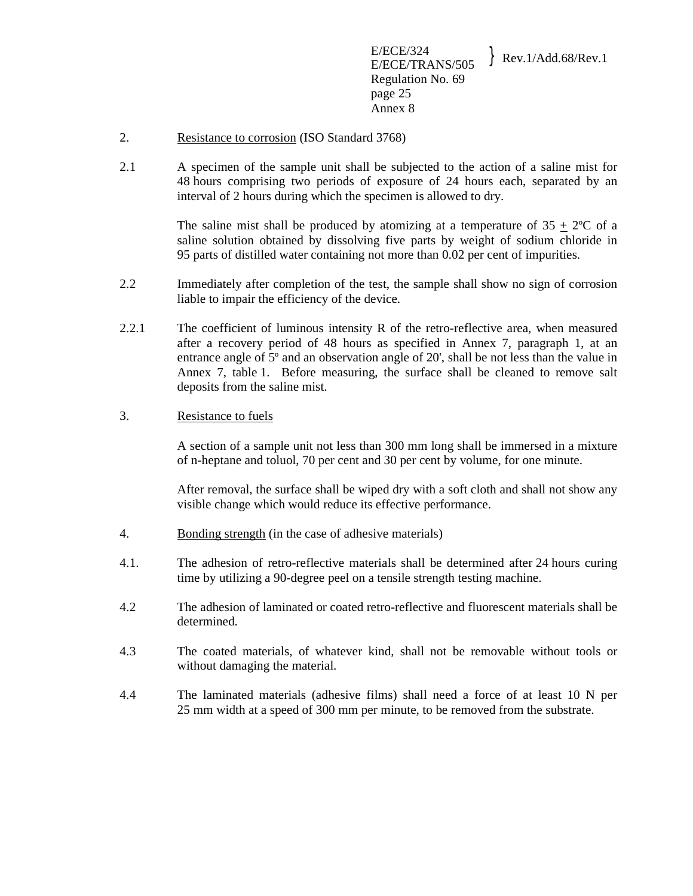- 2. Resistance to corrosion (ISO Standard 3768)
- 2.1 A specimen of the sample unit shall be subjected to the action of a saline mist for 48 hours comprising two periods of exposure of 24 hours each, separated by an interval of 2 hours during which the specimen is allowed to dry.

The saline mist shall be produced by atomizing at a temperature of  $35 + 2^{\circ}C$  of a saline solution obtained by dissolving five parts by weight of sodium chloride in 95 parts of distilled water containing not more than 0.02 per cent of impurities.

- 2.2 Immediately after completion of the test, the sample shall show no sign of corrosion liable to impair the efficiency of the device.
- 2.2.1 The coefficient of luminous intensity R of the retro-reflective area, when measured after a recovery period of 48 hours as specified in Annex 7, paragraph 1, at an entrance angle of 5<sup>°</sup> and an observation angle of 20', shall be not less than the value in Annex 7, table 1. Before measuring, the surface shall be cleaned to remove salt deposits from the saline mist.

# 3. Resistance to fuels

 A section of a sample unit not less than 300 mm long shall be immersed in a mixture of n-heptane and toluol, 70 per cent and 30 per cent by volume, for one minute.

 After removal, the surface shall be wiped dry with a soft cloth and shall not show any visible change which would reduce its effective performance.

- 4. Bonding strength (in the case of adhesive materials)
- 4.1. The adhesion of retro-reflective materials shall be determined after 24 hours curing time by utilizing a 90-degree peel on a tensile strength testing machine.
- 4.2 The adhesion of laminated or coated retro-reflective and fluorescent materials shall be determined.
- 4.3 The coated materials, of whatever kind, shall not be removable without tools or without damaging the material.
- 4.4 The laminated materials (adhesive films) shall need a force of at least 10 N per 25 mm width at a speed of 300 mm per minute, to be removed from the substrate.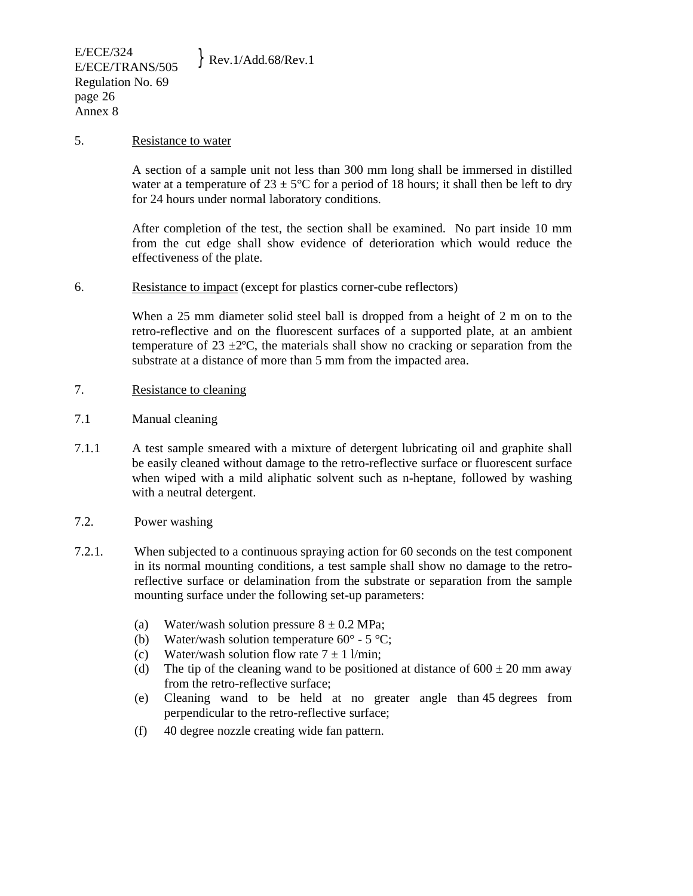#### 5. Resistance to water

 A section of a sample unit not less than 300 mm long shall be immersed in distilled water at a temperature of  $23 \pm 5^{\circ}$ C for a period of 18 hours; it shall then be left to dry for 24 hours under normal laboratory conditions.

 After completion of the test, the section shall be examined. No part inside 10 mm from the cut edge shall show evidence of deterioration which would reduce the effectiveness of the plate.

6. Resistance to impact (except for plastics corner-cube reflectors)

 When a 25 mm diameter solid steel ball is dropped from a height of 2 m on to the retro-reflective and on the fluorescent surfaces of a supported plate, at an ambient temperature of  $23 \pm 2^{\circ}$ C, the materials shall show no cracking or separation from the substrate at a distance of more than 5 mm from the impacted area.

- 7. Resistance to cleaning
- 7.1 Manual cleaning
- 7.1.1 A test sample smeared with a mixture of detergent lubricating oil and graphite shall be easily cleaned without damage to the retro-reflective surface or fluorescent surface when wiped with a mild aliphatic solvent such as n-heptane, followed by washing with a neutral detergent.
- 7.2. Power washing
- 7.2.1. When subjected to a continuous spraying action for 60 seconds on the test component in its normal mounting conditions, a test sample shall show no damage to the retroreflective surface or delamination from the substrate or separation from the sample mounting surface under the following set-up parameters:
	- (a) Water/wash solution pressure  $8 \pm 0.2$  MPa;
	- (b) Water/wash solution temperature  $60^{\circ}$  5  $^{\circ}$ C;
	- (c) Water/wash solution flow rate  $7 \pm 1$  l/min;
	- (d) The tip of the cleaning wand to be positioned at distance of  $600 \pm 20$  mm away from the retro-reflective surface;
	- (e) Cleaning wand to be held at no greater angle than 45 degrees from perpendicular to the retro-reflective surface;
	- (f) 40 degree nozzle creating wide fan pattern.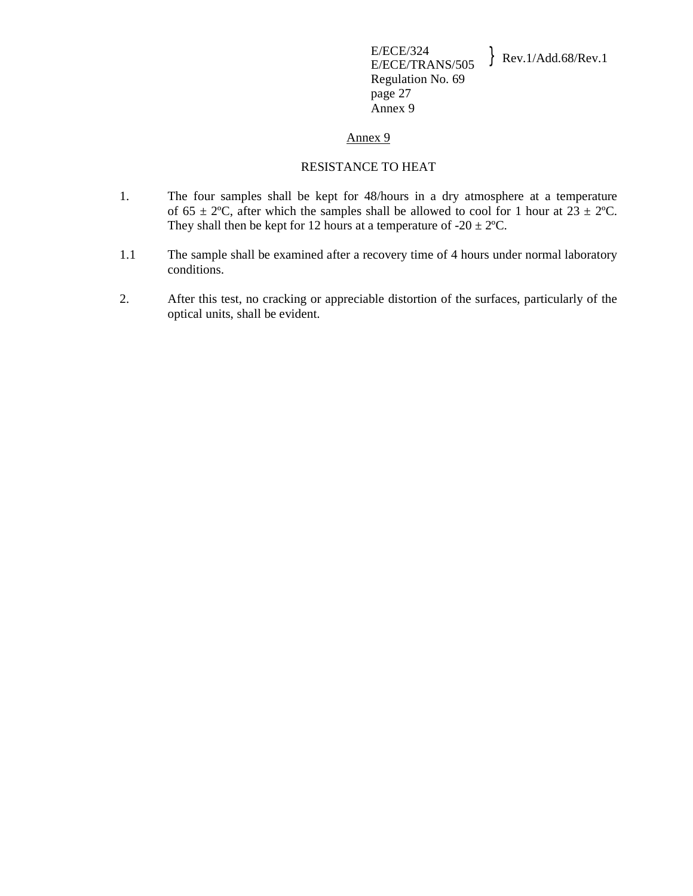#### RESISTANCE TO HEAT

- 1. The four samples shall be kept for 48/hours in a dry atmosphere at a temperature of 65  $\pm$  2°C, after which the samples shall be allowed to cool for 1 hour at  $23 \pm 2$ °C. They shall then be kept for 12 hours at a temperature of  $-20 \pm 2^{\circ}$ C.
- 1.1 The sample shall be examined after a recovery time of 4 hours under normal laboratory conditions.
- 2. After this test, no cracking or appreciable distortion of the surfaces, particularly of the optical units, shall be evident.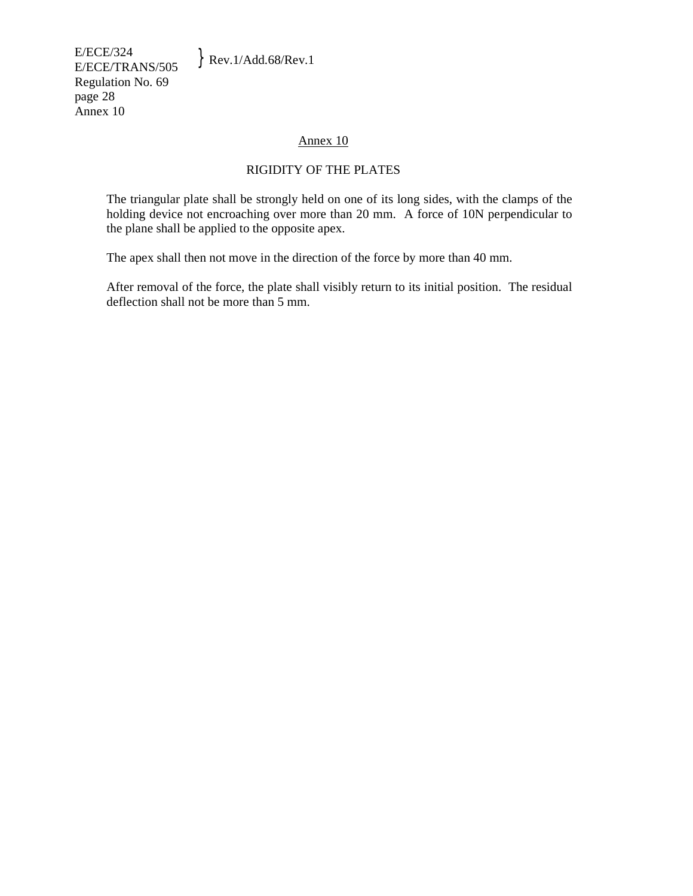E/ECE/324  $E/ECE/324$ <br>E/ECE/TRANS/505 Rev.1/Add.68/Rev.1 Regulation No. 69 page 28 Annex 10

# Annex 10

# RIGIDITY OF THE PLATES

 The triangular plate shall be strongly held on one of its long sides, with the clamps of the holding device not encroaching over more than 20 mm. A force of 10N perpendicular to the plane shall be applied to the opposite apex.

The apex shall then not move in the direction of the force by more than 40 mm.

 After removal of the force, the plate shall visibly return to its initial position. The residual deflection shall not be more than 5 mm.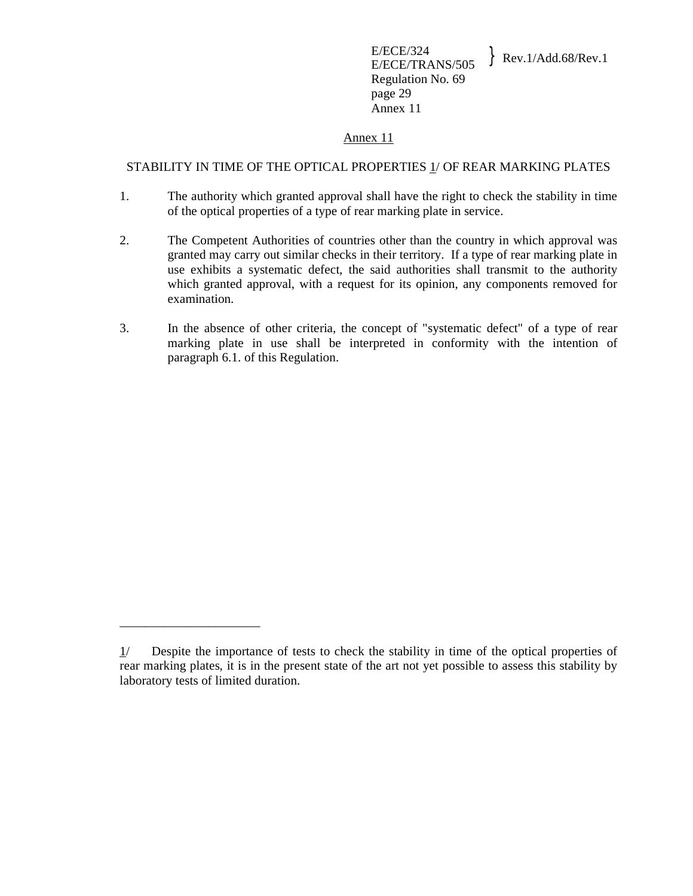#### STABILITY IN TIME OF THE OPTICAL PROPERTIES 1/ OF REAR MARKING PLATES

- 1. The authority which granted approval shall have the right to check the stability in time of the optical properties of a type of rear marking plate in service.
- 2. The Competent Authorities of countries other than the country in which approval was granted may carry out similar checks in their territory. If a type of rear marking plate in use exhibits a systematic defect, the said authorities shall transmit to the authority which granted approval, with a request for its opinion, any components removed for examination.
- 3. In the absence of other criteria, the concept of "systematic defect" of a type of rear marking plate in use shall be interpreted in conformity with the intention of paragraph 6.1. of this Regulation.

\_\_\_\_\_\_\_\_\_\_\_\_\_\_\_\_\_\_\_\_\_\_

 $1/$  Despite the importance of tests to check the stability in time of the optical properties of rear marking plates, it is in the present state of the art not yet possible to assess this stability by laboratory tests of limited duration.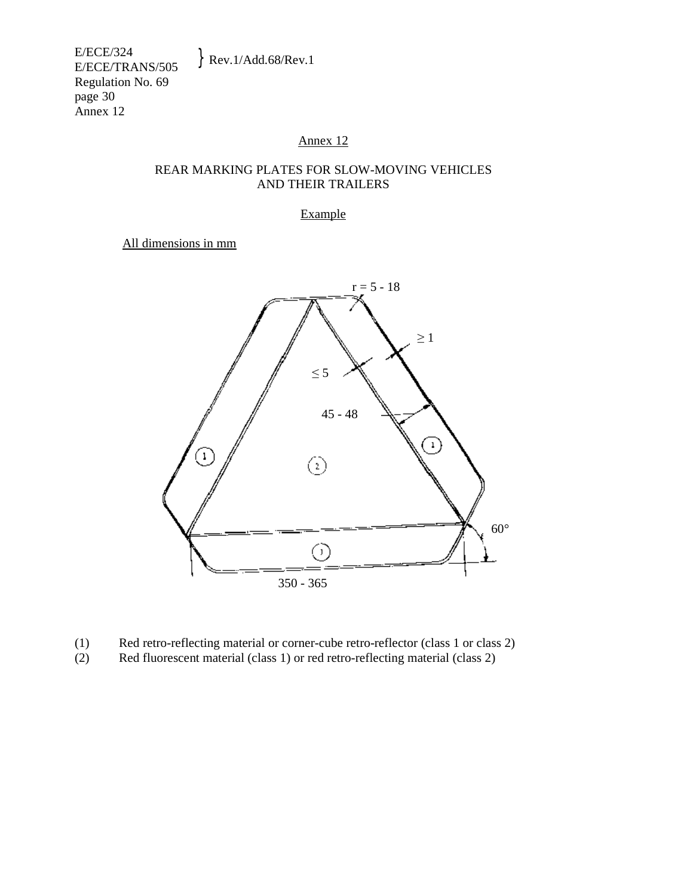# REAR MARKING PLATES FOR SLOW-MOVING VEHICLES AND THEIR TRAILERS

Example

All dimensions in mm



- (1) Red retro-reflecting material or corner-cube retro-reflector (class 1 or class 2)
- (2) Red fluorescent material (class 1) or red retro-reflecting material (class 2)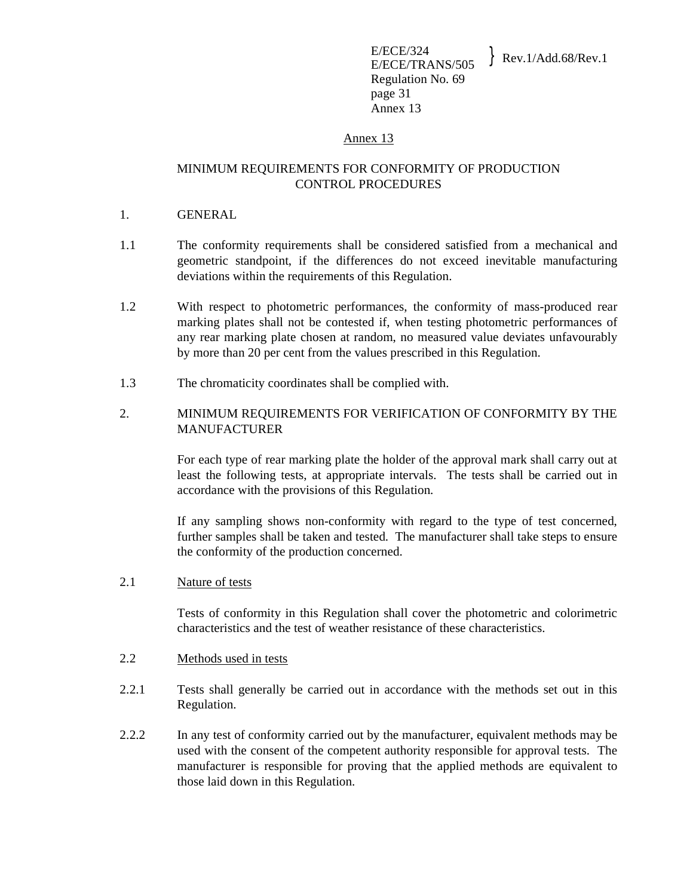# MINIMUM REQUIREMENTS FOR CONFORMITY OF PRODUCTION CONTROL PROCEDURES

- 1. GENERAL
- 1.1 The conformity requirements shall be considered satisfied from a mechanical and geometric standpoint, if the differences do not exceed inevitable manufacturing deviations within the requirements of this Regulation.
- 1.2 With respect to photometric performances, the conformity of mass-produced rear marking plates shall not be contested if, when testing photometric performances of any rear marking plate chosen at random, no measured value deviates unfavourably by more than 20 per cent from the values prescribed in this Regulation.
- 1.3 The chromaticity coordinates shall be complied with.
- 2. MINIMUM REQUIREMENTS FOR VERIFICATION OF CONFORMITY BY THE MANUFACTURER

 For each type of rear marking plate the holder of the approval mark shall carry out at least the following tests, at appropriate intervals. The tests shall be carried out in accordance with the provisions of this Regulation.

 If any sampling shows non-conformity with regard to the type of test concerned, further samples shall be taken and tested. The manufacturer shall take steps to ensure the conformity of the production concerned.

2.1 Nature of tests

 Tests of conformity in this Regulation shall cover the photometric and colorimetric characteristics and the test of weather resistance of these characteristics.

- 2.2 Methods used in tests
- 2.2.1 Tests shall generally be carried out in accordance with the methods set out in this Regulation.
- 2.2.2 In any test of conformity carried out by the manufacturer, equivalent methods may be used with the consent of the competent authority responsible for approval tests. The manufacturer is responsible for proving that the applied methods are equivalent to those laid down in this Regulation.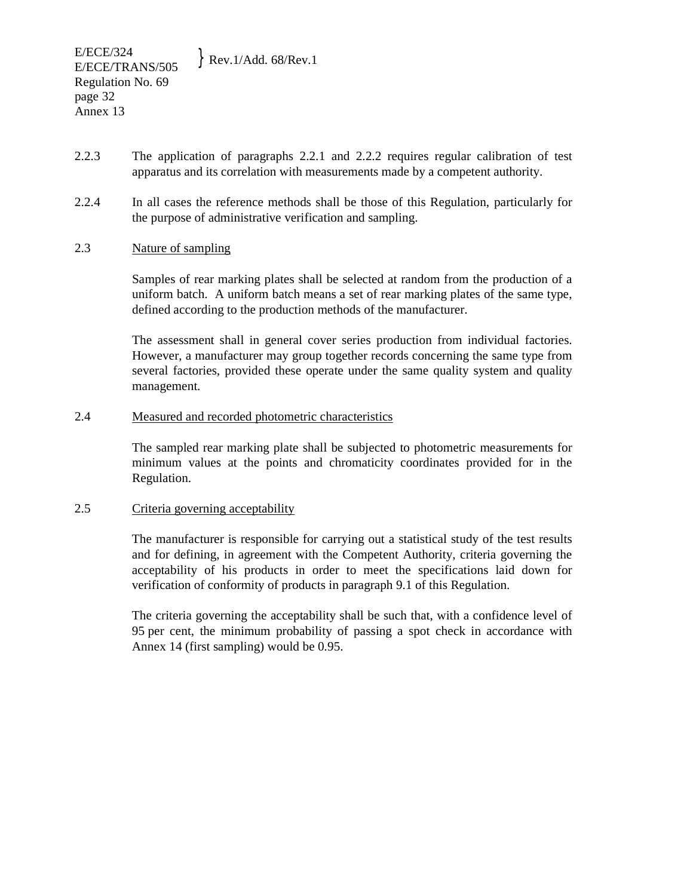- 2.2.3 The application of paragraphs 2.2.1 and 2.2.2 requires regular calibration of test apparatus and its correlation with measurements made by a competent authority.
- 2.2.4 In all cases the reference methods shall be those of this Regulation, particularly for the purpose of administrative verification and sampling.

## 2.3 Nature of sampling

 Samples of rear marking plates shall be selected at random from the production of a uniform batch. A uniform batch means a set of rear marking plates of the same type, defined according to the production methods of the manufacturer.

 The assessment shall in general cover series production from individual factories. However, a manufacturer may group together records concerning the same type from several factories, provided these operate under the same quality system and quality management.

#### 2.4 Measured and recorded photometric characteristics

 The sampled rear marking plate shall be subjected to photometric measurements for minimum values at the points and chromaticity coordinates provided for in the Regulation.

#### 2.5 Criteria governing acceptability

The manufacturer is responsible for carrying out a statistical study of the test results and for defining, in agreement with the Competent Authority, criteria governing the acceptability of his products in order to meet the specifications laid down for verification of conformity of products in paragraph 9.1 of this Regulation.

The criteria governing the acceptability shall be such that, with a confidence level of 95 per cent, the minimum probability of passing a spot check in accordance with Annex 14 (first sampling) would be 0.95.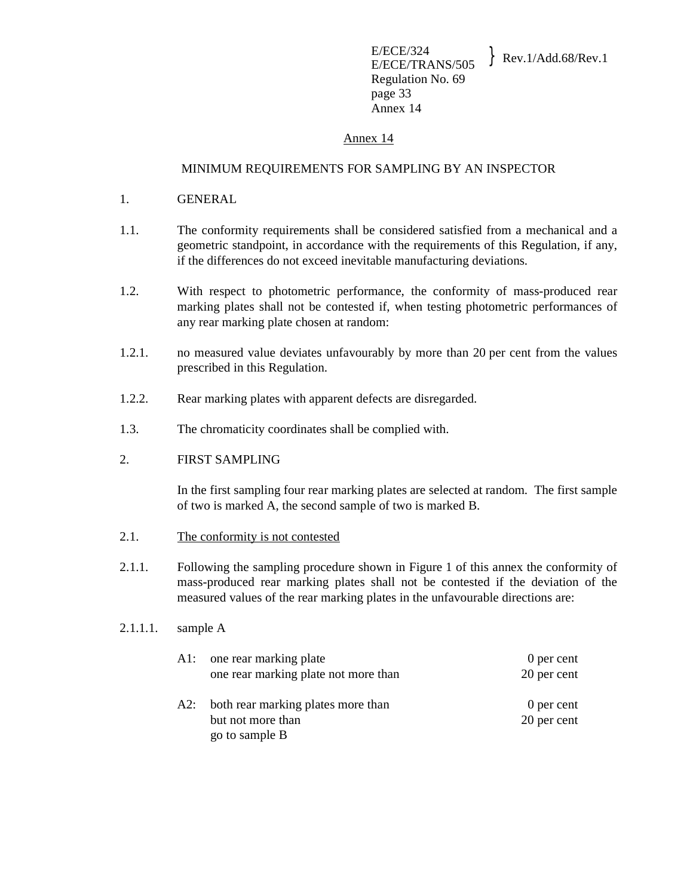# MINIMUM REQUIREMENTS FOR SAMPLING BY AN INSPECTOR

- 1. GENERAL
- 1.1. The conformity requirements shall be considered satisfied from a mechanical and a geometric standpoint, in accordance with the requirements of this Regulation, if any, if the differences do not exceed inevitable manufacturing deviations.
- 1.2. With respect to photometric performance, the conformity of mass-produced rear marking plates shall not be contested if, when testing photometric performances of any rear marking plate chosen at random:
- 1.2.1. no measured value deviates unfavourably by more than 20 per cent from the values prescribed in this Regulation.
- 1.2.2. Rear marking plates with apparent defects are disregarded.
- 1.3. The chromaticity coordinates shall be complied with.

# 2. FIRST SAMPLING

 In the first sampling four rear marking plates are selected at random. The first sample of two is marked A, the second sample of two is marked B.

- 2.1. The conformity is not contested
- 2.1.1. Following the sampling procedure shown in Figure 1 of this annex the conformity of mass-produced rear marking plates shall not be contested if the deviation of the measured values of the rear marking plates in the unfavourable directions are:

## 2.1.1.1. sample A

| A1: one rear marking plate<br>one rear marking plate not more than            | 0 per cent<br>20 per cent |
|-------------------------------------------------------------------------------|---------------------------|
| A2: both rear marking plates more than<br>but not more than<br>go to sample B | 0 per cent<br>20 per cent |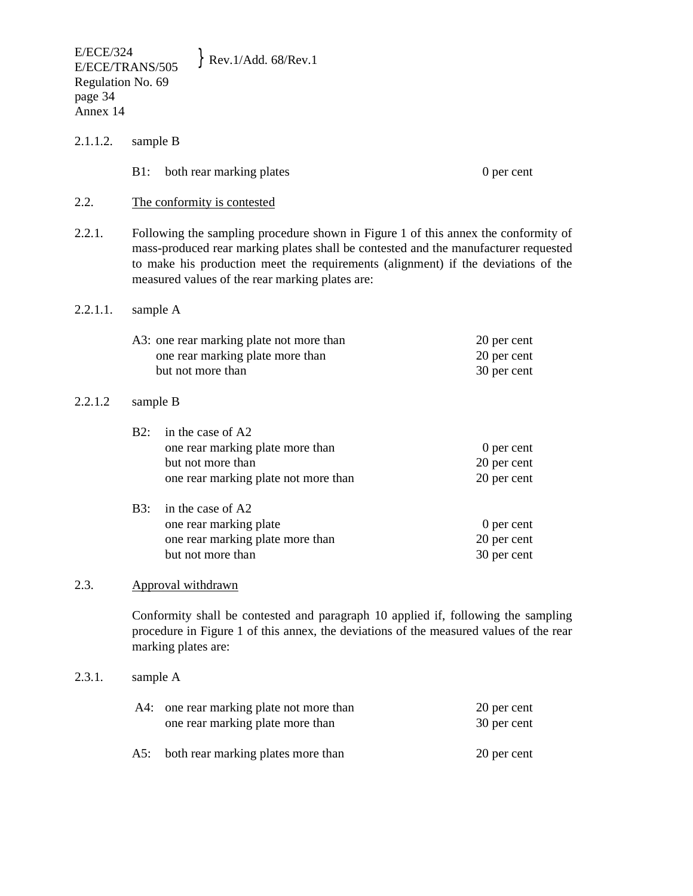- 2.1.1.2. sample B
	- B1: both rear marking plates 0 per cent

- 2.2. The conformity is contested
- 2.2.1. Following the sampling procedure shown in Figure 1 of this annex the conformity of mass-produced rear marking plates shall be contested and the manufacturer requested to make his production meet the requirements (alignment) if the deviations of the measured values of the rear marking plates are:

#### 2.2.1.1. sample A

| A3: one rear marking plate not more than | 20 per cent |
|------------------------------------------|-------------|
| one rear marking plate more than         | 20 per cent |
| but not more than                        | 30 per cent |

#### 2.2.1.2 sample B

| $B2:$ in the case of A2              |             |
|--------------------------------------|-------------|
| one rear marking plate more than     | 0 per cent  |
| but not more than                    | 20 per cent |
| one rear marking plate not more than | 20 per cent |
| B3: in the case of A2                |             |
|                                      |             |

| one rear marking plate           | 0 per cent  |
|----------------------------------|-------------|
| one rear marking plate more than | 20 per cent |
| but not more than                | 30 per cent |

# 2.3. Approval withdrawn

 Conformity shall be contested and paragraph 10 applied if, following the sampling procedure in Figure 1 of this annex, the deviations of the measured values of the rear marking plates are:

#### 2.3.1. sample A

| A4: one rear marking plate not more than<br>one rear marking plate more than | 20 per cent<br>30 per cent |
|------------------------------------------------------------------------------|----------------------------|
| A5: both rear marking plates more than                                       | 20 per cent                |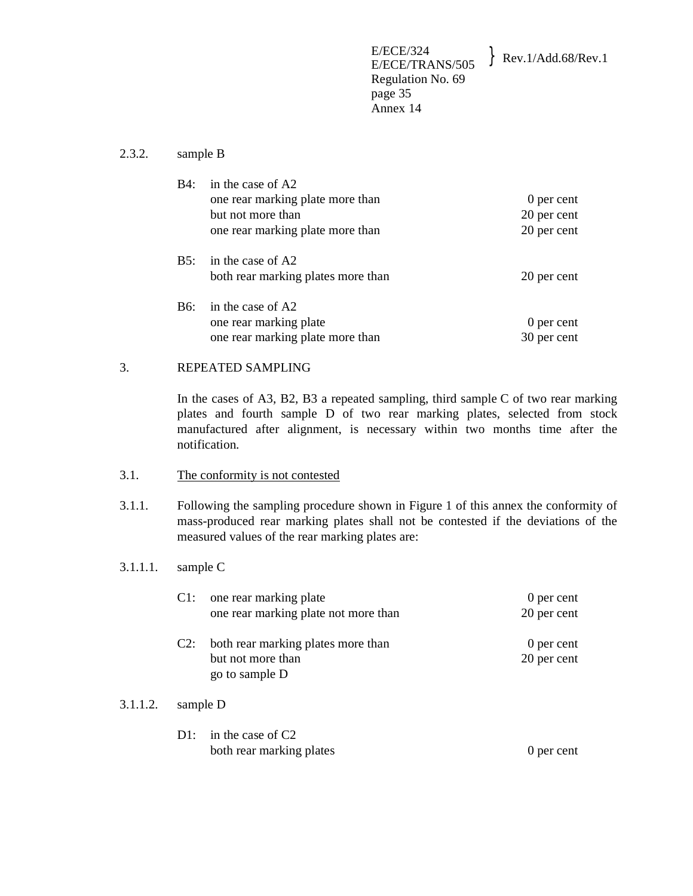#### 2.3.2. sample B

| B4: | in the case of A2<br>one rear marking plate more than<br>but not more than<br>one rear marking plate more than | 0 per cent<br>20 per cent<br>20 per cent |
|-----|----------------------------------------------------------------------------------------------------------------|------------------------------------------|
| B5: | in the case of A2<br>both rear marking plates more than                                                        | 20 per cent                              |
| B6: | in the case of A2<br>one rear marking plate<br>one rear marking plate more than                                | 0 per cent<br>30 per cent                |

## 3. REPEATED SAMPLING

 In the cases of A3, B2, B3 a repeated sampling, third sample C of two rear marking plates and fourth sample D of two rear marking plates, selected from stock manufactured after alignment, is necessary within two months time after the notification.

#### 3.1. The conformity is not contested

3.1.1. Following the sampling procedure shown in Figure 1 of this annex the conformity of mass-produced rear marking plates shall not be contested if the deviations of the measured values of the rear marking plates are:

## 3.1.1.1. sample C

| Cl:    | one rear marking plate<br>one rear marking plate not more than            | 0 per cent<br>20 per cent |
|--------|---------------------------------------------------------------------------|---------------------------|
| $C2$ : | both rear marking plates more than<br>but not more than<br>go to sample D | 0 per cent<br>20 per cent |

# 3.1.1.2. sample D

D1: in the case of C2 both rear marking plates 0 per cent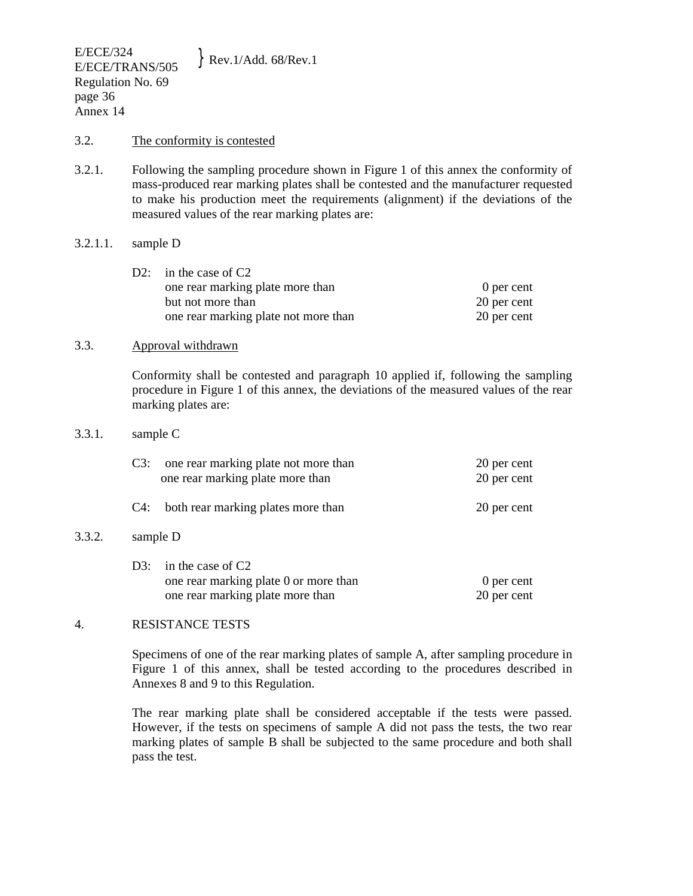#### 3.2. The conformity is contested

3.2.1. Following the sampling procedure shown in Figure 1 of this annex the conformity of mass-produced rear marking plates shall be contested and the manufacturer requested to make his production meet the requirements (alignment) if the deviations of the measured values of the rear marking plates are:

#### 3.2.1.1. sample D

| D2: in the case of $C2$              |             |
|--------------------------------------|-------------|
| one rear marking plate more than     | 0 per cent  |
| but not more than                    | 20 per cent |
| one rear marking plate not more than | 20 per cent |

#### 3.3. Approval withdrawn

 Conformity shall be contested and paragraph 10 applied if, following the sampling procedure in Figure 1 of this annex, the deviations of the measured values of the rear marking plates are:

#### 3.3.1. sample C

 $3.3.2.$ 

|        | C3: | one rear marking plate not more than<br>one rear marking plate more than | 20 per cent<br>20 per cent |
|--------|-----|--------------------------------------------------------------------------|----------------------------|
|        |     | C4: both rear marking plates more than                                   | 20 per cent                |
| 3.3.2. |     | sample D                                                                 |                            |

| D3: in the case of $C2$               |             |
|---------------------------------------|-------------|
| one rear marking plate 0 or more than | 0 per cent  |
| one rear marking plate more than      | 20 per cent |

## 4. RESISTANCE TESTS

 Specimens of one of the rear marking plates of sample A, after sampling procedure in Figure 1 of this annex, shall be tested according to the procedures described in Annexes 8 and 9 to this Regulation.

 The rear marking plate shall be considered acceptable if the tests were passed. However, if the tests on specimens of sample A did not pass the tests, the two rear marking plates of sample B shall be subjected to the same procedure and both shall pass the test.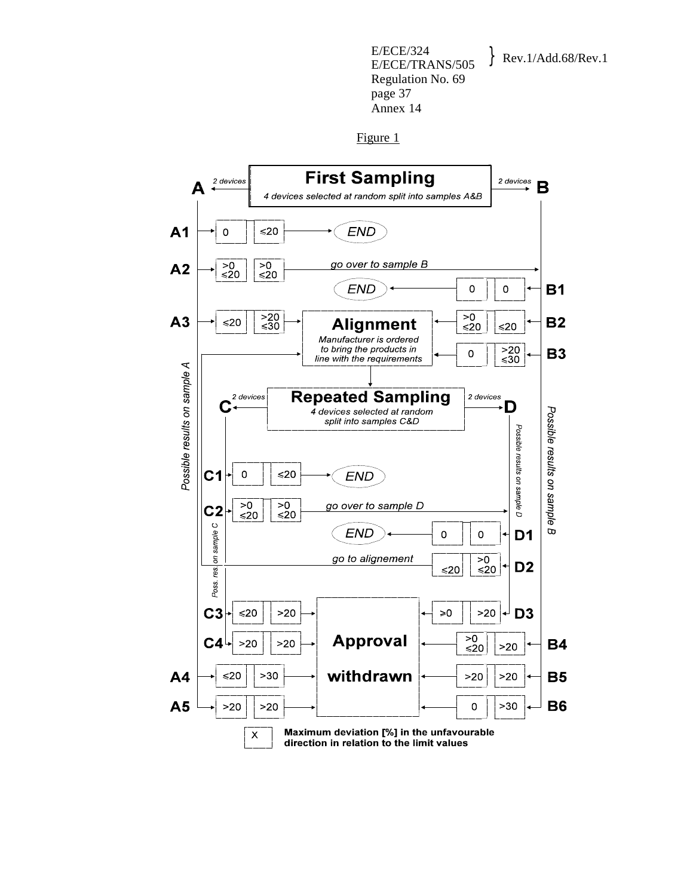Figure 1

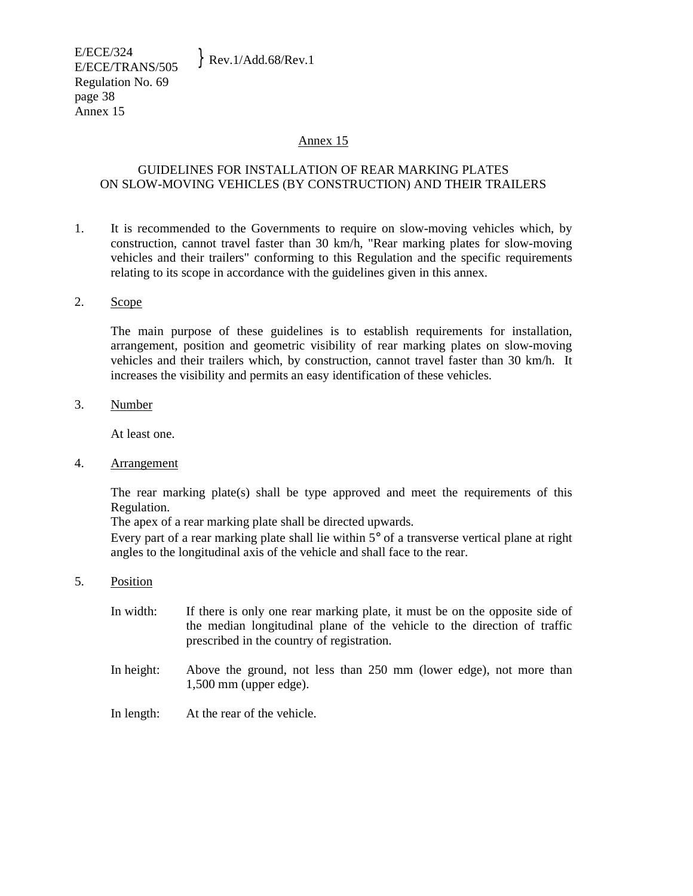## GUIDELINES FOR INSTALLATION OF REAR MARKING PLATES ON SLOW-MOVING VEHICLES (BY CONSTRUCTION) AND THEIR TRAILERS

1. It is recommended to the Governments to require on slow-moving vehicles which, by construction, cannot travel faster than 30 km/h, "Rear marking plates for slow-moving vehicles and their trailers" conforming to this Regulation and the specific requirements relating to its scope in accordance with the guidelines given in this annex.

#### 2. Scope

The main purpose of these guidelines is to establish requirements for installation, arrangement, position and geometric visibility of rear marking plates on slow-moving vehicles and their trailers which, by construction, cannot travel faster than 30 km/h. It increases the visibility and permits an easy identification of these vehicles.

3. Number

At least one.

4. Arrangement

The rear marking plate(s) shall be type approved and meet the requirements of this Regulation.

The apex of a rear marking plate shall be directed upwards.

Every part of a rear marking plate shall lie within  $5^{\circ}$  of a transverse vertical plane at right angles to the longitudinal axis of the vehicle and shall face to the rear.

- 5. Position
	- In width: If there is only one rear marking plate, it must be on the opposite side of the median longitudinal plane of the vehicle to the direction of traffic prescribed in the country of registration.
	- In height: Above the ground, not less than 250 mm (lower edge), not more than 1,500 mm (upper edge).
	- In length: At the rear of the vehicle.